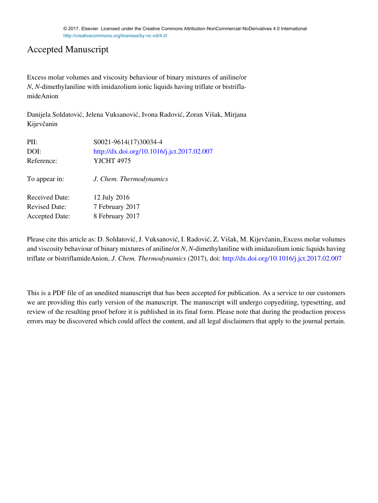#### Accepted Manuscript

Excess molar volumes and viscosity behaviour of binary mixtures of aniline/or *N*, *N*-dimethylaniline with imidazolium ionic liquids having triflate or bistriflamideAnion

Danijela Soldatović, Jelena Vuksanović, Ivona Radović, Zoran Višak, Mirjana Kijevčanin

| PII:                  | S0021-9614(17)30034-4                       |
|-----------------------|---------------------------------------------|
| DOI:                  | http://dx.doi.org/10.1016/j.jct.2017.02.007 |
| Reference:            | <b>YJCHT 4975</b>                           |
| To appear in:         | J. Chem. Thermodynamics                     |
| <b>Received Date:</b> | 12 July 2016                                |
| <b>Revised Date:</b>  | 7 February 2017                             |
| <b>Accepted Date:</b> | 8 February 2017                             |

Please cite this article as: D. Soldatović, J. Vuksanović, I. Radović, Z. Višak, M. Kijevčanin, Excess molar volumes and viscosity behaviour of binary mixtures of aniline/or *N*, *N*-dimethylaniline with imidazolium ionic liquids having triflate or bistriflamideAnion, *J. Chem. Thermodynamics* (2017), doi:<http://dx.doi.org/10.1016/j.jct.2017.02.007>

This is a PDF file of an unedited manuscript that has been accepted for publication. As a service to our customers we are providing this early version of the manuscript. The manuscript will undergo copyediting, typesetting, and review of the resulting proof before it is published in its final form. Please note that during the production process errors may be discovered which could affect the content, and all legal disclaimers that apply to the journal pertain.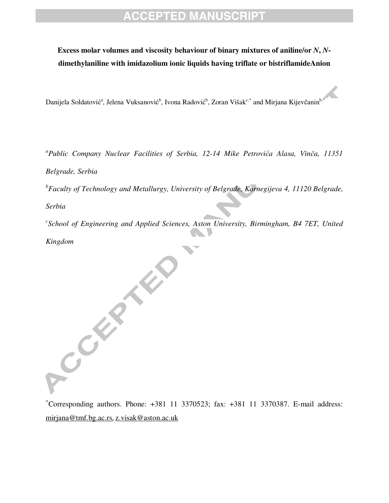#### **Excess molar volumes and viscosity behaviour of binary mixtures of aniline/or** *N***,** *N***dimethylaniline with imidazolium ionic liquids having triflate or bistriflamideAnion**

Danijela Soldatović<sup>a</sup>, Jelena Vuksanović<sup>b</sup>, Ivona Radović<sup>b</sup>, Zoran Višak<sup>c,\*</sup> and Mirjana Kijevčanin<sup>b,\*</sup>

 *a Public Company Nuclear Facilities of Serbia, 12-14 Mike Petrovi*ć*a Alasa, Vin*č*a, 11351 Belgrade, Serbia* 

*b Faculty of Technology and Metallurgy, University of Belgrade, Karnegijeva 4, 11120 Belgrade,* 

*Serbia* 

ACCEPTED

<sup>c</sup> School of Engineering and Applied Sciences, Aston University, Birmingham, B4 7ET, United *Kingdom* 

<sup>∗</sup>Corresponding authors. Phone: +381 11 3370523; fax: +381 11 3370387. E-mail address: mirjana@tmf.bg.ac.rs, z.visak@aston.ac.uk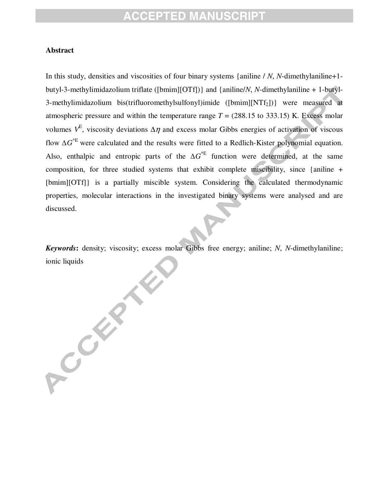#### **Abstract**

flow  $\Delta G$ <sup>\*E</sup> were calculated and the results were fitted to a Redlich-Kister polynomial equation. In this study, densities and viscosities of four binary systems {aniline / *N*, *N*-dimethylaniline+1 butyl-3-methylimidazolium triflate ([bmim][OTf])} and {aniline/*N*, *N*-dimethylaniline + 1-butyl-3-methylimidazolium bis(trifluoromethylsulfonyl)imide ([bmim][NTf2])} were measured at atmospheric pressure and within the temperature range  $T = (288.15 \text{ to } 333.15) \text{ K}$ . Excess molar volumes  $V^E$ , viscosity deviations  $\Delta \eta$  and excess molar Gibbs energies of activation of viscous Also, enthalpic and entropic parts of the  $\Delta G^*$  function were determined, at the same composition, for three studied systems that exhibit complete miscibility, since {aniline + [bmim][OTf]} is a partially miscible system. Considering the calculated thermodynamic properties, molecular interactions in the investigated binary systems were analysed and are discussed.

*Keywords***:** density; viscosity; excess molar Gibbs free energy; aniline; *N*, *N*-dimethylaniline; ionic liquids<br>
and the contract of the contract of the contract of the contract of the contract of the contract of the contract of the contract of the contract of the contract of the contract of the contract of the contrac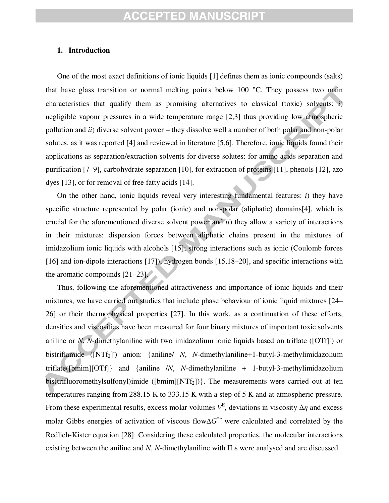#### **1. Introduction**

 solutes, as it was reported [4] and reviewed in literature [5,6]. Therefore, ionic liquids found their One of the most exact definitions of ionic liquids [1] defines them as ionic compounds (salts) that have glass transition or normal melting points below 100 °C. They possess two main characteristics that qualify them as promising alternatives to classical (toxic) solvents: *i*) negligible vapour pressures in a wide temperature range [2,3] thus providing low atmospheric pollution and *ii*) diverse solvent power – they dissolve well a number of both polar and non-polar applications as separation/extraction solvents for diverse solutes: for amino acids separation and purification [7–9], carbohydrate separation [10], for extraction of proteins [11], phenols [12], azo dyes [13], or for removal of free fatty acids [14].

On the other hand, ionic liquids reveal very interesting fundamental features: *i*) they have specific structure represented by polar (ionic) and non-polar (aliphatic) domains[4], which is crucial for the aforementioned diverse solvent power and *ii*) they allow a variety of interactions in their mixtures: dispersion forces between aliphatic chains present in the mixtures of imidazolium ionic liquids with alcohols [15]; strong interactions such as ionic (Coulomb forces [16] and ion-dipole interactions [17]), hydrogen bonds [15,18–20], and specific interactions with the aromatic compounds [21–23].

Thus, following the aforementioned attractiveness and importance of ionic liquids and their mixtures, we have carried out studies that include phase behaviour of ionic liquid mixtures [24– 26] or their thermophysical properties [27]. In this work, as a continuation of these efforts, densities and viscosities have been measured for four binary mixtures of important toxic solvents aniline or *N*, *N*-dimethylaniline with two imidazolium ionic liquids based on triflate ([OTf]) or bistriflamide ([NTf<sub>2</sub>]<sup>-</sup>) anion: {aniline/ *N*, *N*-dimethylaniline+1-butyl-3-methylimidazolium triflate([bmim][OTf]} and {aniline /*N*, *N*-dimethylaniline + 1-butyl-3-methylimidazolium bis(trifluoromethylsulfonyl)imide ([bmim][NTf<sub>2</sub>])}. The measurements were carried out at ten temperatures ranging from 288.15 K to 333.15 K with a step of 5 K and at atmospheric pressure. From these experimental results, excess molar volumes  $V^E$ , deviations in viscosity  $\Delta \eta$  and excess molar Gibbs energies of activation of viscous flow∆*G* \*E were calculated and correlated by the Redlich-Kister equation [28]. Considering these calculated properties, the molecular interactions existing between the aniline and *N*, *N*-dimethylaniline with ILs were analysed and are discussed.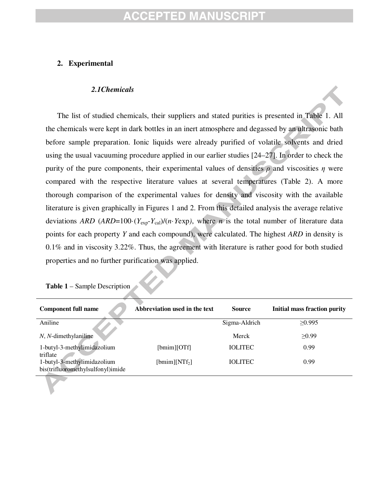#### CEPTED MANU

#### **2. Experimental**

#### *2.1Chemicals*

 before sample preparation. Ionic liquids were already purified of volatile solvents and dried The list of studied chemicals, their suppliers and stated purities is presented in Table 1. All the chemicals were kept in dark bottles in an inert atmosphere and degassed by an ultrasonic bath using the usual vacuuming procedure applied in our earlier studies [24–27]. In order to check the purity of the pure components, their experimental values of densities  $\rho$  and viscosities  $\eta$  were compared with the respective literature values at several temperatures (Table 2). A more thorough comparison of the experimental values for density and viscosity with the available literature is given graphically in Figures 1 and 2. From this detailed analysis the average relative deviations *ARD* (*ARD*=100·( $Y_{exp}$ - $Y_{cal}$ )/(*n*·*Yexp*), where *n* is the total number of literature data points for each property *Y* and each compound), were calculated. The highest *ARD* in density is 0.1% and in viscosity 3.22%. Thus, the agreement with literature is rather good for both studied properties and no further purification was applied.

| <b>Component full name</b>                                       | Abbreviation used in the text | <b>Source</b>  | <b>Initial mass fraction purity</b> |
|------------------------------------------------------------------|-------------------------------|----------------|-------------------------------------|
| Aniline                                                          |                               | Sigma-Aldrich  | >0.995                              |
| $N$ , $N$ -dimethylaniline                                       |                               | Merck          | >0.99                               |
| 1-butyl-3-methylimidazolium<br>triflate                          | [bmim][OTf]                   | <b>IOLITEC</b> | 0.99                                |
| 1-butyl-3-methylimidazolium<br>bis(trifluoromethylsulfonyl)imide | $[bmim][NTf_2]$               | <b>IOLITEC</b> | 0.99                                |

**Table 1** – Sample Description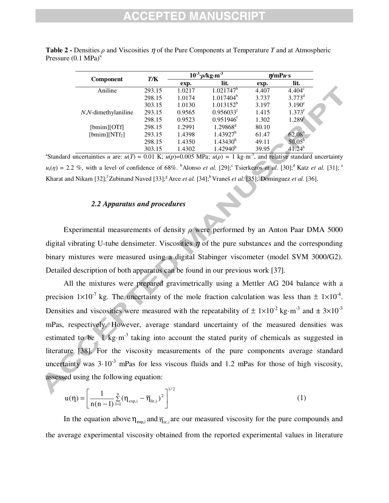| <b>Component</b>        | T/K    | $10^{-3}$ | $\frac{3}{2}$ $\frac{\rho}{kg}$ m <sup>3</sup> |       | $\eta$ /mPa·s      |
|-------------------------|--------|-----------|------------------------------------------------|-------|--------------------|
|                         |        | exp.      | lit.                                           | exp.  | lit.               |
| Aniline                 | 293.15 | 1.0217    | $1.021747^b$                                   | 4.407 | $4.404^{\circ}$    |
|                         | 298.15 | 1.0174    | $1.017404^b$                                   | 3.737 | $3.773^d$          |
|                         | 303.15 | 1.0130    | $1.013152^b$                                   | 3.197 | $3.190^e$          |
| $N, N$ -dimethylaniline | 293.15 | 0.9565    | 0.956033 <sup>f</sup>                          | 1.415 | 1.373 <sup>f</sup> |
|                         | 298.15 | 0.9523    | $0.951946$ <sup>f</sup>                        | 1.302 | 1.289 <sup>f</sup> |
| [bmim][OTf]             | 298.15 | 1.2991    | 1.29868 <sup>g</sup>                           | 80.10 |                    |
| [bmim][NT $f_2$ ]       | 293.15 | 1.4398    | $1.43927^h$                                    | 61.47 | 62.08 <sup>h</sup> |
|                         | 298.15 | 1.4350    | 1.43430 <sup>h</sup>                           | 49.11 | $50.05^h$          |
|                         | 303.15 | 1.4302    | 1.42940 <sup>h</sup>                           | 39.95 | 41.24 <sup>h</sup> |

**Table 2 -** Densities ρ and Viscosities η of the Pure Components at Temperature *T* and at Atmospheric Pressure  $(0.1 \text{ MPa})^a$ 

<sup>a</sup>Standard uncertainties *u* are:  $u(T) = 0.01$  K;  $u(p)=0.005$  MPa;  $u(\rho) = 1$  kg·m<sup>-3</sup>, and relative standard uncertainty  $u_r(\eta) = 2.2$  %, with a level of confidence of 68%. <sup>b</sup>Alonso *et al.* [29];<sup>c</sup> Tsierkezos *et al.* [30];<sup>d</sup> Katz *et al.* [31];<sup>e</sup> Kharat and Nikam [32];<sup>f</sup> Zubinand Naved [33];<sup>g</sup> Arce *et al.* [34];<sup>h</sup> Vraneš *et al.* [35];<sup>i</sup> Dominguez *et al.* [36].

#### *2.2 Apparatus and procedures*

Experimental measurements of density  $\rho$  were performed by an Anton Paar DMA 5000 digital vibrating U-tube densimeter. Viscosities  $\eta$  of the pure substances and the corresponding binary mixtures were measured using a digital Stabinger viscometer (model SVM 3000/G2). Detailed description of both apparatus can be found in our previous work [37].

All the mixtures were prepared gravimetrically using a Mettler AG 204 balance with a precision  $1 \times 10^{-7}$  kg. The uncertainty of the mole fraction calculation was less than  $\pm 1 \times 10^{-4}$ . Densities and viscosities were measured with the repeatability of  $\pm 1 \times 10^{-2}$  kg·m<sup>-3</sup> and  $\pm 3 \times 10^{-3}$ mPas, respectively. However, average standard uncertainty of the measured densities was estimated to be  $1 \text{ kg} \cdot \text{m}^3$  taking into account the stated purity of chemicals as suggested in literature [38]. For the viscosity measurements of the pure components average standard uncertainty was  $3.10^{-3}$  mPas for less viscous fluids and 1.2 mPas for those of high viscosity, assessed using the following equation:

$$
u(\eta) = \left[ \frac{1}{n(n-1)} \sum_{i=1}^{n} (\eta_{exp,i} - \overline{\eta}_{lit,i})^2 \right]^{1/2}
$$
 (1)

In the equation above  $\eta_{exp,i}$  and  $\overline{\eta}_{\text{int},i}$  are our measured viscosity for the pure compounds and the average experimental viscosity obtained from the reported experimental values in literature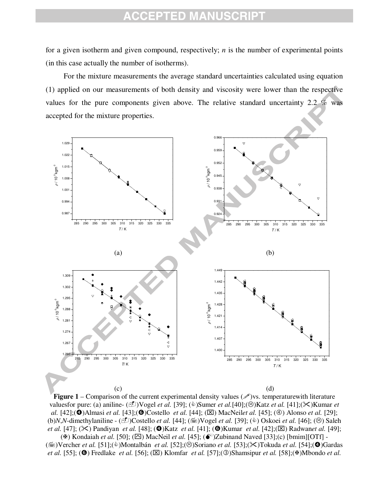for a given isotherm and given compound, respectively; *n* is the number of experimental points (in this case actually the number of isotherms).

For the mixture measurements the average standard uncertainties calculated using equation (1) applied on our measurements of both density and viscosity were lower than the respective values for the pure components given above. The relative standard uncertainty 2.2 % was accepted for the mixture properties.



**Figure 1** – Comparison of the current experimental density values  $(\mathcal{P})$ vs. temperaturewith literature valuesfor pure: (a) aniline- (LI)Vogel *et al.* [39]; ( $\&$ )Sumer *et al.*[40];( $\&$ )Katz *et al.* [41];( $\&$ )Kumar *et al.* [42]; ( $\bullet$ )Almasi *et al.* [43];  $\circledcirc$  Costello *et al.* [44]; ( $\boxtimes$ ) MacNeil*et al.* [45]; ( $\circledcirc$ ) Alonso *et al.* [29]; (b)*N*,*N*-dimethylaniline - (L<sup>2</sup>)Costello *et al.* [44]; ( $\equiv$ )Vogel *et al.* [39]; ( $\diamond$ ) Oskoei *et al.* [46]; ( $\odot$ ) Saleh *et al.* [47]; ( $\angle$ ) Pandiyan *et al.* [48]; ( $\circledbullet$ )Katz *et al.* [41]; ( $\circledbullet$ )Kumar *et al.* [42];( $\boxtimes$ ) Radwan*et al.* [49];

 $(\mathbb{A})$  Kondaiah *et al.* [50]; ( $\boxtimes$ ) MacNeil *et al.* [45]; ( $\bullet$ ) Zubinand Naved [33]; (c) [bmim][OTf] -( $\equiv$ )Vercher *et al.* [51];( $\&$ )Montalbán *et al.* [52];( $\circledcirc$ )Soriano *et al.* [53];( $\times$ )Tokuda *et al.* [54];( $\circledcirc$ )Gardas *et al.* [55]; ( $\bullet$ ) Fredlake *et al.* [56]; ( $\boxtimes$ ) Klomfar *et al.* [57]; ( $\textcircled{)}$ Shamsipur *et al.* [58]; ( $\bullet$ )Mbondo *et al.*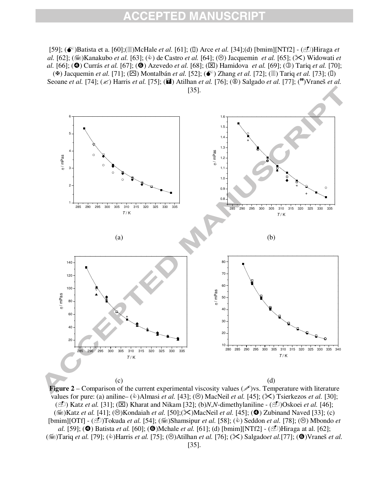[59]; ( $\bullet^*$ )Batista et a. [60];( $\Box$ )McHale *et al.* [61]; ( $\Box$ ) Arce *et al.* [34];(d) [bmim][NTf2] - ( $\Box$ )Hiraga *et al.* [62]; ( $\equiv$ )Kanakubo *et al.* [63]; ( $\stackrel{\circ}{\le}$ ) de Castro *et al.* [64]; ( $\stackrel{\circ}{\le}$ ) Jacquemin *et al.* [65]; ( $\Join$ ) Widowati *et al.* [66]; ( $\bullet$ ) Currás *et al.* [67]; ( $\bullet$ ) Azevedo *et al.* [68]; ( $\boxtimes$ ) Hamidova *et al.* [69]; ( $\circledcirc$ ) Tariq *et al.* [70]; ( $\blacktriangleright$ ) Jacquemin *et al.* [71]; ( $\boxdot$ ) Montalbán *et al.* [52]; ( $\blacklozenge$ <sup>\*\*</sup>) Zhang *et al.* [72]; ( $\text{I}$ ]) Tariq *et al.* [73]; (I) Seoane *et al.* [74]; ( $\leq$ ) Harris *et al.* [75]; ( $\Box$ ) Atilhan *et al.* [76]; ( $\circled{9}$ ) Salgado *et al.* [77]; ( $\bullet$ ) Vraneš *et al.* 



**Figure 2** – Comparison of the current experimental viscosity values  $(\mathscr{I})$  vs. Temperature with literature values for pure: (a) aniline–  $(\&)$  Almasi *et al.* [43]; ( $\&$ ) MacNeil *et al.* [45]; ( $\&$ ) Tsierkezos *et al.* [30]; (-) Katz *et al.* [31]; (⌧) Kharat and Nikam [32]; (b)*N*,*N*-dimethylaniline - (-)Oskoei *et al.* [46];  $(\equiv)$ Katz *et al.* [41]; ( $\odot$ )Kondaiah *et al.* [50]; ( $\times$ )MacNeil *et al.* [45]; ( $\odot$ ) Zubinand Naved [33]; (c) [bmim][OTf] - (D)Tokuda *et al.* [54]; ( $\equiv$ )Shamsipur *et al.* [58]; ( $\hat{\Phi}$ ) Seddon *et al.* [78]; ( $\otimes$ ) Mbondo *et al.* [59]; ( $\bullet$ ) Batista *et al.* [60]; ( $\bullet$ )Mchale *et al.* [61]; (d) [bmim][NTf2] - ( $\circ$ <sup>1</sup>)Hiraga at al. [62]; ( $\equiv$ )Tariq *et al.* [79]; ( $\&$ )Harris *et al.* [75]; ( $\otimes$ )Atilhan *et al.* [76]; ( $\otimes$ ) Salgado*et al.*[77]; ( $\bullet$ )Vraneš *et al.* [35].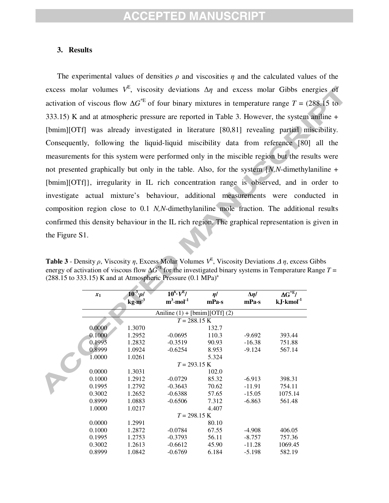#### **3. Results**

 Consequently, following the liquid-liquid miscibility data from reference [80] all the The experimental values of densities  $\rho$  and viscosities  $\eta$  and the calculated values of the excess molar volumes  $V^E$ , viscosity deviations  $\Delta \eta$  and excess molar Gibbs energies of activation of viscous flow  $\Delta G^*$ <sup>E</sup> of four binary mixtures in temperature range *T* = (288.15 to 333.15) K and at atmospheric pressure are reported in Table 3. However, the system aniline + [bmim][OTf] was already investigated in literature [80,81] revealing partial miscibility. measurements for this system were performed only in the miscible region but the results were not presented graphically but only in the table. Also, for the system {*N,N*-dimethylaniline + [bmim][OTf]}, irregularity in IL rich concentration range is observed, and in order to investigate actual mixture's behaviour, additional measurements were conducted in composition region close to 0.1 *N,N*-dimethylaniline mole fraction. The additional results confirmed this density behaviour in the IL rich region. The graphical representation is given in the Figure S1.

**Table 3** - Density  $\rho$ , Viscosity  $\eta$ , Excess Molar Volumes  $V^E$ , Viscosity Deviations  $\Delta \eta$ , excess Gibbs energy of activation of viscous flow  $\Delta G^*$  for the investigated binary systems in Temperature Range *T* =  $(288.15$  to 333.15) K and at Atmospheric Pressure  $(0.1 \text{ MPa})^{\text{a}}$ 

| $x_1$  | $10^{3} \cdot \rho$        | $10^6 \cdot V^{E}/$            | $\eta$ / | $\Delta \eta/$ | $\Delta G^{*E}/$    |
|--------|----------------------------|--------------------------------|----------|----------------|---------------------|
|        | $\text{kg}\cdot\text{m}^3$ | $m^3$ ·mol <sup>-1</sup>       | mPa·s    | mPa·s          | $kJ\cdot kmol^{-1}$ |
|        |                            | Aniline $(1) + [bmin][OTf](2)$ |          |                |                     |
|        |                            | $T = 288.15 \text{ K}$         |          |                |                     |
| 0.0000 | 1.3070                     |                                | 132.7    |                |                     |
| 0.1000 | 1.2952                     | $-0.0695$                      | 110.3    | $-9.692$       | 393.44              |
| 0.1995 | 1.2832                     | $-0.3519$                      | 90.93    | $-16.38$       | 751.88              |
| 0.8999 | 1.0924                     | $-0.6254$                      | 8.953    | $-9.124$       | 567.14              |
| 1.0000 | 1.0261                     |                                | 5.324    |                |                     |
|        |                            | $T = 293.15 \text{ K}$         |          |                |                     |
| 0.0000 | 1.3031                     |                                | 102.0    |                |                     |
| 0.1000 | 1.2912                     | $-0.0729$                      | 85.32    | $-6.913$       | 398.31              |
| 0.1995 | 1.2792                     | $-0.3643$                      | 70.62    | $-11.91$       | 754.11              |
| 0.3002 | 1.2652                     | $-0.6388$                      | 57.65    | $-15.05$       | 1075.14             |
| 0.8999 | 1.0883                     | $-0.6506$                      | 7.312    | $-6.863$       | 561.48              |
| 1.0000 | 1.0217                     |                                | 4.407    |                |                     |
|        |                            | $T = 298.15 \text{ K}$         |          |                |                     |
| 0.0000 | 1.2991                     |                                | 80.10    |                |                     |
| 0.1000 | 1.2872                     | $-0.0784$                      | 67.55    | $-4.908$       | 406.05              |
| 0.1995 | 1.2753                     | $-0.3793$                      | 56.11    | $-8.757$       | 757.36              |
| 0.3002 | 1.2613                     | $-0.6612$                      | 45.90    | $-11.28$       | 1069.45             |
| 0.8999 | 1.0842                     | $-0.6769$                      | 6.184    | $-5.198$       | 582.19              |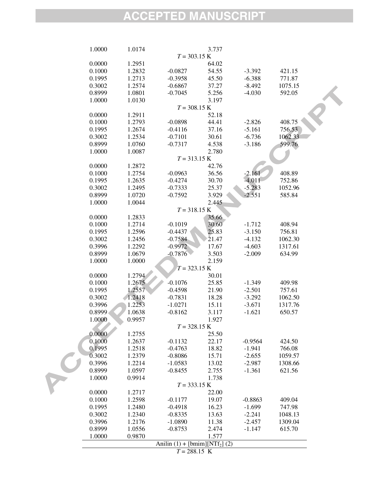| 1.0000 | 1.0174 |           | 3.737                                          |           |         |  |
|--------|--------|-----------|------------------------------------------------|-----------|---------|--|
|        |        |           | $T = 303.15 K$                                 |           |         |  |
| 0.0000 | 1.2951 |           | 64.02                                          |           |         |  |
| 0.1000 | 1.2832 | $-0.0827$ | 54.55                                          | $-3.392$  | 421.15  |  |
| 0.1995 | 1.2713 | $-0.3958$ | 45.50                                          | $-6.388$  | 771.87  |  |
| 0.3002 | 1.2574 | $-0.6867$ | 37.27                                          | $-8.492$  | 1075.15 |  |
| 0.8999 | 1.0801 | $-0.7045$ | 5.256                                          | $-4.030$  | 592.05  |  |
| 1.0000 | 1.0130 |           | 3.197                                          |           |         |  |
|        |        |           |                                                |           |         |  |
|        |        |           | $T = 308.15$ K                                 |           |         |  |
| 0.0000 | 1.2911 |           | 52.18                                          |           |         |  |
| 0.1000 | 1.2793 | $-0.0898$ | 44.41                                          | $-2.826$  | 408.75  |  |
| 0.1995 | 1.2674 | $-0.4116$ | 37.16                                          | $-5.161$  | 756.53  |  |
| 0.3002 | 1.2534 | $-0.7101$ | 30.61                                          | $-6.736$  | 1062.33 |  |
| 0.8999 | 1.0760 | $-0.7317$ | 4.538                                          | $-3.186$  | 599.76  |  |
| 1.0000 | 1.0087 |           | 2.780                                          |           |         |  |
|        |        |           | $T = 313.15 K$                                 |           |         |  |
| 0.0000 | 1.2872 |           | 42.76                                          |           |         |  |
| 0.1000 | 1.2754 | $-0.0963$ | 36.56                                          | $-2.161$  | 408.89  |  |
| 0.1995 | 1.2635 | $-0.4274$ | 30.70                                          | $-4.011$  | 752.86  |  |
| 0.3002 | 1.2495 | $-0.7333$ | 25.37                                          | $-5.283$  | 1052.96 |  |
| 0.8999 | 1.0720 | $-0.7592$ | 3.929                                          | $-2.551$  | 585.84  |  |
| 1.0000 | 1.0044 |           | 2.445                                          |           |         |  |
|        |        |           | $T = 318.15 K$                                 |           |         |  |
| 0.0000 | 1.2833 |           | 35.66                                          |           |         |  |
| 0.1000 | 1.2714 |           | 30.60                                          |           | 408.94  |  |
|        |        | $-0.1019$ |                                                | $-1.712$  |         |  |
| 0.1995 | 1.2596 | $-0.4437$ | 25.83                                          | $-3.150$  | 756.81  |  |
| 0.3002 | 1.2456 | $-0.7584$ | 21.47                                          | $-4.132$  | 1062.30 |  |
| 0.3996 | 1.2292 | $-0.9972$ | 17.67                                          | $-4.603$  | 1317.61 |  |
| 0.8999 | 1.0679 | $-0.7876$ | 3.503                                          | $-2.009$  | 634.99  |  |
| 1.0000 | 1.0000 |           | 2.159                                          |           |         |  |
|        |        |           | $T = 323.15 \text{ K}$                         |           |         |  |
| 0.0000 | 1.2794 |           | 30.01                                          |           |         |  |
| 0.1000 | 1.2675 | $-0.1076$ | 25.85                                          | $-1.349$  | 409.98  |  |
| 0.1995 | 1.2557 | $-0.4598$ | 21.90                                          | $-2.501$  | 757.61  |  |
| 0.3002 | 1.2418 | $-0.7831$ | 18.28                                          | $-3.292$  | 1062.50 |  |
| 0.3996 | 1.2253 | $-1.0271$ | 15.11                                          | $-3.671$  | 1317.76 |  |
| 0.8999 | 1.0638 | $-0.8162$ | 3.117                                          | $-1.621$  | 650.57  |  |
| 1.0000 | 0.9957 |           | 1.927                                          |           |         |  |
|        |        |           | $T = 328.15 K$                                 |           |         |  |
| 0.0000 | 1.2755 |           | 25.50                                          |           |         |  |
| 0.1000 | 1.2637 | $-0.1132$ | 22.17                                          | $-0.9564$ | 424.50  |  |
| 0.1995 | 1.2518 | $-0.4763$ | 18.82                                          | $-1.941$  | 766.08  |  |
| 0.3002 | 1.2379 | $-0.8086$ | 15.71                                          | $-2.655$  | 1059.57 |  |
| 0.3996 |        |           |                                                |           |         |  |
|        | 1.2214 | $-1.0583$ | 13.02                                          | $-2.987$  | 1308.66 |  |
| 0.8999 | 1.0597 | $-0.8455$ | 2.755                                          | $-1.361$  | 621.56  |  |
| 1.0000 | 0.9914 |           | 1.738                                          |           |         |  |
|        |        |           | $T = 333.15 K$                                 |           |         |  |
| 0.0000 | 1.2717 |           | 22.00                                          |           |         |  |
| 0.1000 | 1.2598 | $-0.1177$ | 19.07                                          | $-0.8863$ | 409.04  |  |
| 0.1995 | 1.2480 | $-0.4918$ | 16.23                                          | $-1.699$  | 747.98  |  |
| 0.3002 | 1.2340 | $-0.8335$ | 13.63                                          | $-2.241$  | 1048.13 |  |
| 0.3996 | 1.2176 | $-1.0890$ | 11.38                                          | $-2.457$  | 1309.04 |  |
| 0.8999 | 1.0556 | $-0.8753$ | 2.474                                          | $-1.147$  | 615.70  |  |
| 1.0000 | 0.9870 |           | 1.577                                          |           |         |  |
|        |        |           | Anilin $(1)$ + [bmim][NTf <sub>2</sub> ] $(2)$ |           |         |  |
|        |        |           | $T = 288.15$ K                                 |           |         |  |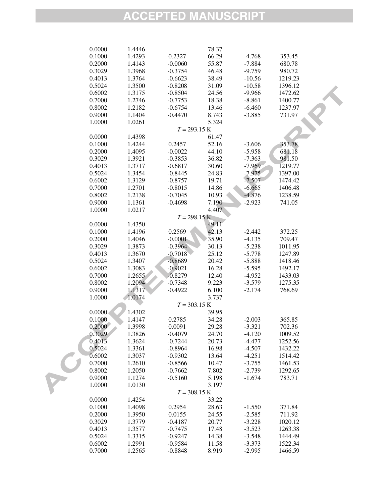| 0.0000 | 1.4446 |                | 78.37 |          |         |  |
|--------|--------|----------------|-------|----------|---------|--|
| 0.1000 | 1.4293 | 0.2327         | 66.29 | $-4.768$ | 353.45  |  |
| 0.2000 | 1.4143 | $-0.0060$      | 55.87 | $-7.884$ | 680.78  |  |
| 0.3029 | 1.3968 | $-0.3754$      | 46.48 | $-9.759$ | 980.72  |  |
| 0.4013 | 1.3764 | $-0.6623$      | 38.49 | $-10.56$ | 1219.23 |  |
| 0.5024 | 1.3500 | $-0.8208$      | 31.09 | $-10.58$ | 1396.12 |  |
| 0.6002 | 1.3175 | $-0.8504$      | 24.56 | $-9.966$ | 1472.62 |  |
| 0.7000 | 1.2746 | $-0.7753$      | 18.38 | $-8.861$ | 1400.77 |  |
| 0.8002 | 1.2182 | $-0.6754$      | 13.46 | $-6.460$ | 1237.97 |  |
| 0.9000 | 1.1404 | $-0.4470$      | 8.743 | $-3.885$ | 731.97  |  |
| 1.0000 | 1.0261 |                | 5.324 |          |         |  |
|        |        | $T = 293.15 K$ |       |          |         |  |
| 0.0000 | 1.4398 |                | 61.47 |          |         |  |
| 0.1000 | 1.4244 | 0.2457         | 52.16 | $-3.606$ | 353.78  |  |
| 0.2000 | 1.4095 | $-0.0022$      | 44.10 | $-5.958$ | 681.18  |  |
| 0.3029 | 1.3921 | $-0.3853$      | 36.82 | $-7.363$ | 981.50  |  |
| 0.4013 | 1.3717 | $-0.6817$      | 30.60 | $-7.969$ | 1219.77 |  |
| 0.5024 | 1.3454 | $-0.8445$      | 24.83 | $-7.975$ | 1397.00 |  |
| 0.6002 | 1.3129 | $-0.8757$      | 19.71 | $-7.507$ | 1474.42 |  |
| 0.7000 | 1.2701 | $-0.8015$      | 14.86 | $-6.665$ | 1406.48 |  |
| 0.8002 | 1.2138 | $-0.7045$      | 10.93 | $-4.876$ | 1238.59 |  |
| 0.9000 | 1.1361 | $-0.4698$      | 7.190 | $-2.923$ | 741.05  |  |
| 1.0000 | 1.0217 |                | 4.407 |          |         |  |
|        |        | $T = 298.15 K$ |       |          |         |  |
| 0.0000 | 1.4350 |                | 49.11 |          |         |  |
| 0.1000 | 1.4196 | 0.2569         | 42.13 | $-2.442$ | 372.25  |  |
| 0.2000 | 1.4046 | $-0.0001$      | 35.90 | $-4.135$ | 709.47  |  |
| 0.3029 | 1.3873 | $-0.3964$      | 30.13 | $-5.238$ | 1011.95 |  |
| 0.4013 | 1.3670 | $-0.7018$      | 25.12 | $-5.778$ | 1247.89 |  |
| 0.5024 | 1.3407 | $-0.8689$      | 20.42 | $-5.888$ | 1418.46 |  |
| 0.6002 | 1.3083 | $-0.9021$      | 16.28 | $-5.595$ | 1492.17 |  |
| 0.7000 | 1.2655 | $-0.8279$      | 12.40 | $-4.952$ | 1433.03 |  |
| 0.8002 | 1.2094 | $-0.7348$      | 9.223 | $-3.579$ | 1275.35 |  |
| 0.9000 | 1.1317 | $-0.4922$      | 6.100 | $-2.174$ | 768.69  |  |
| 1.0000 | 1.0174 |                | 3.737 |          |         |  |
|        |        | $T = 303.15 K$ |       |          |         |  |
| 0.0000 | 1.4302 |                | 39.95 |          |         |  |
| 0.1000 | 1.4147 | 0.2785         | 34.28 | $-2.003$ | 365.85  |  |
| 0.2000 | 1.3998 | 0.0091         | 29.28 | $-3.321$ | 702.36  |  |
| 0.3029 | 1.3826 | $-0.4079$      | 24.70 | $-4.120$ | 1009.52 |  |
| 0.4013 | 1.3624 | $-0.7244$      | 20.73 | $-4.477$ | 1252.56 |  |
| 0.5024 | 1.3361 | $-0.8964$      | 16.98 | $-4.507$ | 1432.22 |  |
| 0.6002 | 1.3037 | $-0.9302$      | 13.64 | $-4.251$ | 1514.42 |  |
| 0.7000 | 1.2610 | $-0.8566$      | 10.47 | $-3.755$ | 1461.53 |  |
| 0.8002 | 1.2050 | $-0.7662$      | 7.802 | $-2.739$ | 1292.65 |  |
| 0.9000 | 1.1274 | $-0.5160$      | 5.198 | $-1.674$ | 783.71  |  |
| 1.0000 | 1.0130 |                | 3.197 |          |         |  |
|        |        | $T = 308.15 K$ |       |          |         |  |
| 0.0000 | 1.4254 |                | 33.22 |          |         |  |
| 0.1000 | 1.4098 | 0.2954         | 28.63 | $-1.550$ | 371.84  |  |
| 0.2000 | 1.3950 | 0.0155         | 24.55 | $-2.585$ | 711.92  |  |
| 0.3029 | 1.3779 | $-0.4187$      | 20.77 | $-3.228$ | 1020.12 |  |
| 0.4013 | 1.3577 | $-0.7475$      | 17.48 | $-3.523$ | 1263.38 |  |
| 0.5024 | 1.3315 | $-0.9247$      | 14.38 | $-3.548$ | 1444.49 |  |
| 0.6002 | 1.2991 | $-0.9584$      | 11.58 | $-3.373$ | 1522.34 |  |
| 0.7000 | 1.2565 | $-0.8848$      | 8.919 | $-2.995$ | 1466.59 |  |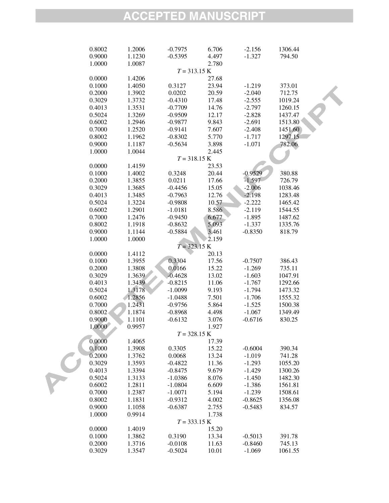| 0.8002<br>1.2006 | $-0.7975$ | 6.706          | $-2.156$  | 1306.44 |  |
|------------------|-----------|----------------|-----------|---------|--|
| 0.9000<br>1.1230 | $-0.5395$ | 4.497          | $-1.327$  | 794.50  |  |
| 1.0000<br>1.0087 |           | 2.780          |           |         |  |
|                  |           | $T = 313.15 K$ |           |         |  |
| 0.0000<br>1.4206 |           | 27.68          |           |         |  |
| 0.1000<br>1.4050 | 0.3127    | 23.94          | $-1.219$  | 373.01  |  |
| 0.2000<br>1.3902 | 0.0202    | 20.59          | $-2.040$  | 712.75  |  |
| 0.3029<br>1.3732 | $-0.4310$ | 17.48          | $-2.555$  | 1019.24 |  |
| 0.4013<br>1.3531 | $-0.7709$ | 14.76          | $-2.797$  | 1260.15 |  |
| 0.5024<br>1.3269 | $-0.9509$ | 12.17          | $-2.828$  | 1437.47 |  |
| 0.6002<br>1.2946 | $-0.9877$ | 9.843          | $-2.691$  | 1513.80 |  |
| 0.7000<br>1.2520 | $-0.9141$ | 7.607          | $-2.408$  | 1451.60 |  |
| 0.8002<br>1.1962 | $-0.8302$ | 5.770          | $-1.717$  | 1297.15 |  |
| 0.9000<br>1.1187 | $-0.5634$ | 3.898          | $-1.071$  | 782.06  |  |
| 1.0000<br>1.0044 |           | 2.445          |           |         |  |
|                  |           | $T = 318.15 K$ |           |         |  |
| 0.0000<br>1.4159 |           | 23.53          |           |         |  |
| 0.1000<br>1.4002 | 0.3248    | 20.44          | $-0.9529$ | 380.88  |  |
| 0.2000<br>1.3855 | 0.0211    | 17.66          | $-1.597$  | 726.79  |  |
| 0.3029<br>1.3685 | $-0.4456$ | 15.05          | $-2.006$  | 1038.46 |  |
| 0.4013<br>1.3485 | $-0.7963$ | 12.76          | $-2.198$  | 1283.48 |  |
| 0.5024<br>1.3224 | $-0.9808$ | 10.57          | $-2.222$  | 1465.42 |  |
| 0.6002<br>1.2901 | $-1.0181$ | 8.586          | $-2.119$  | 1544.55 |  |
| 0.7000<br>1.2476 | $-0.9450$ | 6.677          | $-1.895$  | 1487.62 |  |
| 0.8002<br>1.1918 | $-0.8632$ | 5.093          | $-1.337$  | 1335.76 |  |
| 0.9000<br>1.1144 | $-0.5884$ | 3.461          | $-0.8350$ | 818.79  |  |
| 1.0000<br>1.0000 |           | 2.159          |           |         |  |
|                  |           | $T = 323.15 K$ |           |         |  |
| 0.0000<br>1.4112 |           | 20.13          |           |         |  |
| 0.1000<br>1.3955 | 0.3304    | 17.56          | $-0.7507$ | 386.43  |  |
| 0.2000<br>1.3808 | 0.0166    | 15.22          | $-1.269$  | 735.11  |  |
| 1.3639<br>0.3029 | $-0.4628$ | 13.02          | $-1.603$  | 1047.91 |  |
| 1.3439<br>0.4013 | $-0.8215$ | 11.06          | $-1.767$  | 1292.66 |  |
| 1.3178<br>0.5024 | $-1.0099$ | 9.193          | $-1.794$  | 1473.32 |  |
| 0.6002<br>1.2856 | $-1.0488$ | 7.501          | $-1.706$  | 1555.32 |  |
| 0.7000<br>1.2431 | $-0.9756$ | 5.864          | $-1.525$  | 1500.38 |  |
| 0.8002<br>1.1874 | $-0.8968$ | 4.498          | $-1.067$  | 1349.49 |  |
| 0.9000<br>1.1101 | $-0.6132$ | 3.076          | $-0.6716$ | 830.25  |  |
| 1.0000<br>0.9957 |           | 1.927          |           |         |  |
|                  |           | $T = 328.15 K$ |           |         |  |
| 0.0000<br>1.4065 |           | 17.39          |           |         |  |
| 0.1000<br>1.3908 | 0.3305    | 15.22          | $-0.6004$ | 390.34  |  |
| 0.2000<br>1.3762 | 0.0068    | 13.24          | $-1.019$  | 741.28  |  |
| 0.3029<br>1.3593 | $-0.4822$ | 11.36          | $-1.293$  | 1055.20 |  |
| 0.4013<br>1.3394 | $-0.8475$ | 9.679          | $-1.429$  | 1300.26 |  |
| 0.5024<br>1.3133 | $-1.0386$ | 8.076          | $-1.450$  | 1482.30 |  |
| 0.6002<br>1.2811 | $-1.0804$ | 6.609          | $-1.386$  | 1561.81 |  |
| 0.7000<br>1.2387 | $-1.0071$ | 5.194          | $-1.239$  | 1508.61 |  |
| 0.8002<br>1.1831 | $-0.9312$ | 4.002          | $-0.8625$ | 1356.08 |  |
| 0.9000<br>1.1058 | $-0.6387$ | 2.755          | $-0.5483$ | 834.57  |  |
| 1.0000<br>0.9914 |           | 1.738          |           |         |  |
|                  |           | $T = 333.15 K$ |           |         |  |
| 0.0000<br>1.4019 |           | 15.20          |           |         |  |
| 0.1000<br>1.3862 | 0.3190    | 13.34          | $-0.5013$ | 391.78  |  |
| 0.2000<br>1.3716 | $-0.0108$ | 11.63          | $-0.8460$ | 745.13  |  |
| 0.3029<br>1.3547 | $-0.5024$ | 10.01          | $-1.069$  | 1061.55 |  |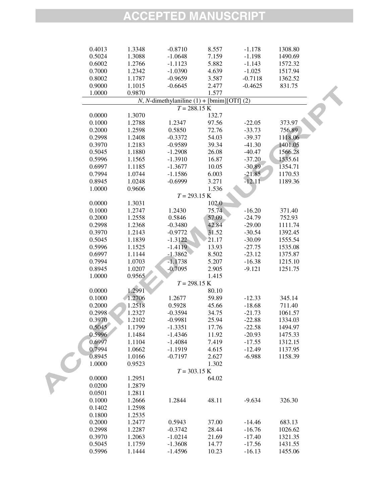| 0.4013 | 1.3348 | $-0.8710$                                     | 8.557 | $-1.178$  | 1308.80 |  |
|--------|--------|-----------------------------------------------|-------|-----------|---------|--|
| 0.5024 | 1.3088 | $-1.0648$                                     | 7.159 | $-1.198$  | 1490.69 |  |
| 0.6002 | 1.2766 | $-1.1123$                                     | 5.882 | $-1.143$  | 1572.32 |  |
| 0.7000 | 1.2342 | $-1.0390$                                     | 4.639 | $-1.025$  | 1517.94 |  |
| 0.8002 | 1.1787 | $-0.9659$                                     | 3.587 | $-0.7118$ | 1362.52 |  |
| 0.9000 | 1.1015 | $-0.6645$                                     | 2.477 | $-0.4625$ | 831.75  |  |
| 1.0000 | 0.9870 |                                               | 1.577 |           |         |  |
|        |        | $N$ , N-dimethylaniline (1) + [bmim][OTf] (2) |       |           |         |  |
|        |        | $T = 288.15 K$                                |       |           |         |  |
| 0.0000 | 1.3070 |                                               | 132.7 |           |         |  |
| 0.1000 |        |                                               |       |           |         |  |
|        | 1.2788 | 1.2347                                        | 97.56 | $-22.05$  | 373.97  |  |
| 0.2000 | 1.2598 | 0.5850                                        | 72.76 | $-33.73$  | 756.89  |  |
| 0.2998 | 1.2408 | $-0.3372$                                     | 54.03 | $-39.37$  | 1118.06 |  |
| 0.3970 | 1.2183 | $-0.9589$                                     | 39.34 | $-41.30$  | 1401.05 |  |
| 0.5045 | 1.1880 | $-1.2908$                                     | 26.08 | $-40.47$  | 1566.28 |  |
| 0.5996 | 1.1565 | $-1.3910$                                     | 16.87 | $-37.20$  | 1535.61 |  |
| 0.6997 | 1.1185 | $-1.3677$                                     | 10.05 | $-30.89$  | 1354.71 |  |
| 0.7994 | 1.0744 | $-1.1586$                                     | 6.003 | $-21.85$  | 1170.53 |  |
| 0.8945 | 1.0248 | $-0.6999$                                     | 3.271 | $-12.11$  | 1189.36 |  |
| 1.0000 | 0.9606 |                                               | 1.536 |           |         |  |
|        |        | $T = 293.15 K$                                |       |           |         |  |
| 0.0000 | 1.3031 |                                               | 102.0 |           |         |  |
| 0.1000 | 1.2747 | 1.2430                                        | 75.74 | $-16.20$  | 371.40  |  |
| 0.2000 | 1.2558 | 0.5846                                        | 57.09 | $-24.79$  | 752.93  |  |
| 0.2998 | 1.2368 | $-0.3480$                                     | 42.84 | $-29.00$  | 1111.74 |  |
| 0.3970 | 1.2143 | $-0.9772$                                     | 31.52 | $-30.54$  | 1392.45 |  |
| 0.5045 | 1.1839 | $-1.3122$                                     | 21.17 | $-30.09$  | 1555.54 |  |
| 0.5996 | 1.1525 | $-1.4119$                                     | 13.93 | $-27.75$  | 1535.08 |  |
| 0.6997 | 1.1144 | $-1.3862$                                     | 8.502 | $-23.12$  | 1375.87 |  |
| 0.7994 | 1.0703 | $-1.1738$                                     | 5.207 | $-16.38$  | 1215.10 |  |
| 0.8945 | 1.0207 | $-0.7095$                                     | 2.905 | $-9.121$  | 1251.75 |  |
| 1.0000 | 0.9565 |                                               | 1.415 |           |         |  |
|        |        | $T = 298.15 K$                                |       |           |         |  |
| 0.0000 | 1.2991 |                                               | 80.10 |           |         |  |
| 0.1000 | 1.2706 | 1.2677                                        | 59.89 | $-12.33$  | 345.14  |  |
|        |        |                                               |       |           | 711.40  |  |
| 0.2000 | 1.2518 | 0.5928                                        | 45.66 | $-18.68$  |         |  |
| 0.2998 | 1.2327 | $-0.3594$                                     | 34.75 | $-21.73$  | 1061.57 |  |
| 0.3970 | 1.2102 | $-0.9981$                                     | 25.94 | $-22.88$  | 1334.03 |  |
| 0.5045 | 1.1799 | $-1.3351$                                     | 17.76 | $-22.58$  | 1494.97 |  |
| 0.5996 | 1.1484 | $-1.4346$                                     | 11.92 | $-20.93$  | 1475.33 |  |
| 0.6997 | 1.1104 | $-1.4084$                                     | 7.419 | $-17.55$  | 1312.15 |  |
| 0.7994 | 1.0662 | $-1.1919$                                     | 4.615 | $-12.49$  | 1137.95 |  |
| 0.8945 | 1.0166 | $-0.7197$                                     | 2.627 | $-6.988$  | 1158.39 |  |
| 1.0000 | 0.9523 |                                               | 1.302 |           |         |  |
|        |        | $T = 303.15 K$                                |       |           |         |  |
| 0.0000 | 1.2951 |                                               | 64.02 |           |         |  |
| 0.0200 | 1.2879 |                                               |       |           |         |  |
| 0.0501 | 1.2811 |                                               |       |           |         |  |
| 0.1000 | 1.2666 | 1.2844                                        | 48.11 | $-9.634$  | 326.30  |  |
| 0.1402 | 1.2598 |                                               |       |           |         |  |
| 0.1800 | 1.2535 |                                               |       |           |         |  |
| 0.2000 | 1.2477 | 0.5943                                        | 37.00 | $-14.46$  | 683.13  |  |
| 0.2998 | 1.2287 | $-0.3742$                                     | 28.44 | $-16.76$  | 1026.62 |  |
| 0.3970 | 1.2063 | $-1.0214$                                     | 21.69 | $-17.40$  | 1321.35 |  |
| 0.5045 | 1.1759 | $-1.3608$                                     | 14.77 | $-17.56$  | 1431.55 |  |
| 0.5996 | 1.1444 | $-1.4596$                                     | 10.23 | $-16.13$  | 1455.06 |  |
|        |        |                                               |       |           |         |  |

RC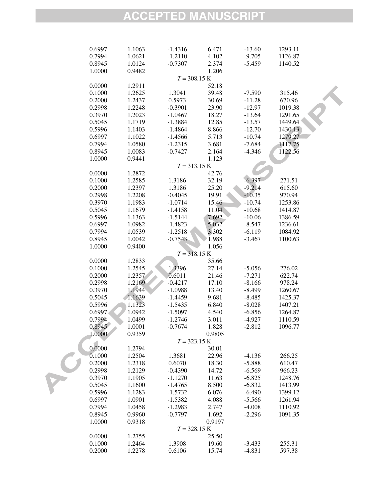| 0.6997 | 1.1063 | $-1.4316$ | 6.471          | $-13.60$ | 1293.11 |  |
|--------|--------|-----------|----------------|----------|---------|--|
| 0.7994 | 1.0621 | $-1.2110$ | 4.102          | $-9.705$ | 1126.87 |  |
| 0.8945 | 1.0124 | $-0.7307$ | 2.374          | $-5.459$ | 1140.52 |  |
| 1.0000 | 0.9482 |           | 1.206          |          |         |  |
|        |        |           | $T = 308.15 K$ |          |         |  |
| 0.0000 | 1.2911 |           | 52.18          |          |         |  |
| 0.1000 | 1.2625 | 1.3041    | 39.48          | $-7.590$ | 315.46  |  |
| 0.2000 | 1.2437 | 0.5973    | 30.69          | $-11.28$ | 670.96  |  |
| 0.2998 | 1.2248 | $-0.3901$ | 23.90          | $-12.97$ | 1019.38 |  |
| 0.3970 | 1.2023 | $-1.0467$ | 18.27          | $-13.64$ | 1291.65 |  |
| 0.5045 | 1.1719 | $-1.3884$ | 12.85          | $-13.57$ | 1449.64 |  |
| 0.5996 | 1.1403 | $-1.4864$ | 8.866          | $-12.70$ | 1430.13 |  |
| 0.6997 | 1.1022 | $-1.4566$ | 5.713          | $-10.74$ | 1279.27 |  |
| 0.7994 | 1.0580 | $-1.2315$ | 3.681          | $-7.684$ | 1117.75 |  |
| 0.8945 | 1.0083 | $-0.7427$ | 2.164          | $-4.346$ | 1122.56 |  |
| 1.0000 | 0.9441 |           | 1.123          |          |         |  |
|        |        |           | $T = 313.15 K$ |          |         |  |
| 0.0000 | 1.2872 |           | 42.76          |          |         |  |
| 0.1000 | 1.2585 | 1.3186    | 32.19          | $-6.397$ | 271.51  |  |
| 0.2000 | 1.2397 | 1.3186    | 25.20          | $-9.214$ | 615.60  |  |
| 0.2998 | 1.2208 | $-0.4045$ | 19.91          | $-10.35$ | 970.94  |  |
| 0.3970 | 1.1983 | $-1.0714$ | 15.46          | $-10.74$ | 1253.86 |  |
| 0.5045 | 1.1679 | $-1.4158$ | 11.04          | $-10.68$ | 1414.87 |  |
| 0.5996 | 1.1363 | $-1.5144$ | 7.692          | $-10.06$ | 1386.59 |  |
| 0.6997 | 1.0982 | $-1.4823$ | 5.032          | $-8.547$ | 1236.61 |  |
| 0.7994 | 1.0539 | $-1.2518$ | 3.302          | $-6.119$ | 1084.92 |  |
| 0.8945 | 1.0042 | $-0.7543$ | 1.988          | $-3.467$ | 1100.63 |  |
| 1.0000 | 0.9400 |           | 1.056          |          |         |  |
|        |        |           | $T = 318.15 K$ |          |         |  |
| 0.0000 | 1.2833 |           | 35.66          |          |         |  |
| 0.1000 | 1.2545 | 1.3396    | 27.14          | $-5.056$ | 276.02  |  |
| 0.2000 | 1.2357 | 0.6011    | 21.46          | $-7.271$ | 622.74  |  |
| 0.2998 | 1.2169 | $-0.4217$ | 17.10          | $-8.166$ | 978.24  |  |
| 0.3970 | 1.1944 | $-1.0988$ | 13.40          | $-8.499$ | 1260.67 |  |
| 0.5045 | 1.1639 | $-1.4459$ | 9.681          | $-8.485$ | 1425.37 |  |
| 0.5996 | 1.1323 | $-1.5435$ | 6.840          | $-8.028$ | 1407.21 |  |
| 0.6997 | 1.0942 | $-1.5097$ | 4.540          | $-6.856$ | 1264.87 |  |
| 0.7994 | 1.0499 | $-1.2746$ | 3.011          | $-4.927$ | 1110.59 |  |
| 0.8945 | 1.0001 | $-0.7674$ | 1.828          | $-2.812$ | 1096.77 |  |
| 1.0000 | 0.9359 |           | 0.9805         |          |         |  |
|        |        |           | $T = 323.15 K$ |          |         |  |
| 0.0000 | 1.2794 |           | 30.01          |          |         |  |
| 0.1000 | 1.2504 | 1.3681    | 22.96          | $-4.136$ | 266.25  |  |
| 0.2000 | 1.2318 | 0.6070    | 18.30          | $-5.888$ | 610.47  |  |
| 0.2998 | 1.2129 | $-0.4390$ | 14.72          | $-6.569$ | 966.23  |  |
| 0.3970 | 1.1905 | $-1.1270$ | 11.63          | $-6.825$ | 1248.76 |  |
| 0.5045 | 1.1600 | $-1.4765$ | 8.500          | $-6.832$ | 1413.99 |  |
| 0.5996 | 1.1283 | $-1.5732$ | 6.076          | $-6.490$ | 1399.12 |  |
| 0.6997 | 1.0901 | $-1.5382$ | 4.088          | $-5.566$ | 1261.94 |  |
| 0.7994 | 1.0458 | $-1.2983$ | 2.747          | $-4.008$ | 1110.92 |  |
| 0.8945 | 0.9960 | $-0.7797$ | 1.692          | $-2.296$ | 1091.35 |  |
| 1.0000 | 0.9318 |           | 0.9197         |          |         |  |
|        |        |           | $T = 328.15 K$ |          |         |  |
| 0.0000 | 1.2755 |           | 25.50          |          |         |  |
| 0.1000 | 1.2464 | 1.3908    | 19.60          | $-3.433$ | 255.31  |  |
| 0.2000 | 1.2278 | 0.6106    | 15.74          | $-4.831$ | 597.38  |  |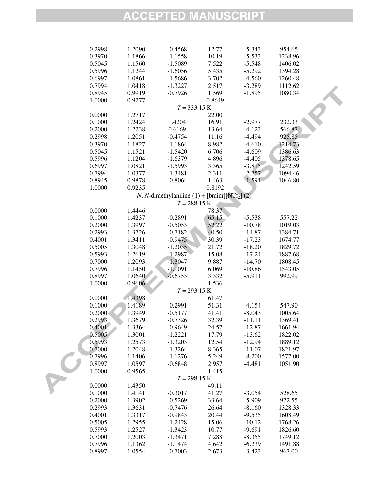| 0.2998 | 1.2090 | $-0.4568$ | 12.77                                                        | $-5.343$ | 954.65  |  |
|--------|--------|-----------|--------------------------------------------------------------|----------|---------|--|
| 0.3970 | 1.1866 | $-1.1558$ | 10.19                                                        | $-5.533$ | 1238.96 |  |
| 0.5045 | 1.1560 | $-1.5089$ | 7.522                                                        | $-5.548$ | 1406.02 |  |
| 0.5996 | 1.1244 | $-1.6056$ | 5.435                                                        | $-5.292$ | 1394.28 |  |
| 0.6997 | 1.0861 | $-1.5686$ | 3.702                                                        | $-4.560$ | 1260.48 |  |
| 0.7994 | 1.0418 | $-1.3227$ | 2.517                                                        | $-3.289$ | 1112.62 |  |
| 0.8945 | 0.9919 | $-0.7926$ | 1.569                                                        | $-1.895$ | 1080.34 |  |
| 1.0000 | 0.9277 |           | 0.8649                                                       |          |         |  |
|        |        |           | $T = 333.15 K$                                               |          |         |  |
| 0.0000 | 1.2717 |           | 22.00                                                        |          |         |  |
| 0.1000 | 1.2424 | 1.4204    | 16.91                                                        | $-2.977$ | 232.33  |  |
| 0.2000 | 1.2238 | 0.6169    | 13.64                                                        | $-4.123$ | 566.87  |  |
| 0.2998 | 1.2051 | $-0.4754$ | 11.16                                                        | $-4.494$ | 925.85  |  |
| 0.3970 | 1.1827 | $-1.1864$ | 8.982                                                        | $-4.610$ | 1214.73 |  |
| 0.5045 | 1.1521 | $-1.5420$ | 6.706                                                        | $-4.609$ | 1386.63 |  |
| 0.5996 | 1.1204 |           | 4.896                                                        | $-4.405$ | 1378.65 |  |
|        |        | $-1.6379$ |                                                              |          |         |  |
| 0.6997 | 1.0821 | $-1.5993$ | 3.365                                                        | $-3.815$ | 1242.59 |  |
| 0.7994 | 1.0377 | $-1.3481$ | 2.311                                                        | $-2.757$ | 1094.46 |  |
| 0.8945 | 0.9878 | $-0.8064$ | 1.463                                                        | $-1.591$ | 1046.80 |  |
| 1.0000 | 0.9235 |           | 0.8192                                                       |          |         |  |
|        |        |           | N, N-dimethylaniline $(1)$ + [bmim][NTf <sub>2</sub> ] $(2)$ |          |         |  |
|        |        |           | $T = 288.15 K$                                               |          |         |  |
| 0.0000 | 1.4446 |           | 78.37                                                        |          |         |  |
| 0.1000 | 1.4237 | $-0.2891$ | 65.15                                                        | $-5.538$ | 557.22  |  |
| 0.2000 | 1.3997 | $-0.5053$ | 52.22                                                        | $-10.78$ | 1019.03 |  |
| 0.2993 | 1.3726 | $-0.7182$ | 40.50                                                        | $-14.87$ | 1384.71 |  |
| 0.4001 | 1.3411 | $-0.9475$ | 30.39                                                        | $-17.23$ | 1674.77 |  |
| 0.5005 | 1.3048 | $-1.2035$ | 21.72                                                        | $-18.20$ | 1829.72 |  |
| 0.5993 | 1.2619 | $-1.2987$ | 15.08                                                        | $-17.24$ | 1887.68 |  |
| 0.7000 | 1.2093 | $-1.3047$ | 9.887                                                        | $-14.70$ | 1808.45 |  |
| 0.7996 | 1.1450 | $-1.1091$ | 6.069                                                        | $-10.86$ | 1543.05 |  |
| 0.8997 | 1.0640 | $-0.6753$ | 3.332                                                        | $-5.911$ | 992.99  |  |
| 1.0000 | 0.9606 |           | 1.536                                                        |          |         |  |
|        |        |           | $T = 293.15 K$                                               |          |         |  |
| 0.0000 | 1.4398 |           | 61.47                                                        |          |         |  |
| 0.1000 | 1.4189 | $-0.2991$ | 51.31                                                        | $-4.154$ | 547.90  |  |
| 0.2000 | 1.3949 | $-0.5177$ | 41.41                                                        | $-8.043$ | 1005.64 |  |
| 0.2993 | 1.3679 | $-0.7326$ | 32.39                                                        | $-11.11$ | 1369.41 |  |
| 0.4001 | 1.3364 | $-0.9649$ | 24.57                                                        | $-12.87$ | 1661.94 |  |
| 0.5005 | 1.3001 | $-1.2221$ | 17.79                                                        | $-13.62$ | 1822.02 |  |
| 0.5993 | 1.2573 | $-1.3203$ | 12.54                                                        | $-12.94$ | 1889.12 |  |
| 0.7000 | 1.2048 | $-1.3264$ | 8.365                                                        | $-11.07$ | 1821.97 |  |
| 0.7996 | 1.1406 | $-1.1276$ | 5.249                                                        | $-8.200$ | 1577.00 |  |
| 0.8997 | 1.0597 | $-0.6848$ | 2.957                                                        | $-4.481$ | 1051.90 |  |
| 1.0000 | 0.9565 |           | 1.415                                                        |          |         |  |
|        |        |           | $T = 298.15 K$                                               |          |         |  |
| 0.0000 | 1.4350 |           | 49.11                                                        |          |         |  |
| 0.1000 | 1.4141 | $-0.3017$ | 41.27                                                        | $-3.054$ | 528.65  |  |
| 0.2000 | 1.3902 | $-0.5269$ | 33.64                                                        | $-5.909$ | 972.55  |  |
| 0.2993 | 1.3631 | $-0.7476$ | 26.64                                                        | $-8.160$ | 1328.33 |  |
| 0.4001 | 1.3317 | $-0.9843$ | 20.44                                                        | $-9.535$ | 1608.49 |  |
| 0.5005 | 1.2955 | $-1.2428$ | 15.06                                                        | $-10.12$ | 1768.26 |  |
| 0.5993 | 1.2527 | $-1.3423$ | 10.77                                                        | $-9.691$ | 1826.60 |  |
| 0.7000 | 1.2003 | $-1.3471$ | 7.288                                                        | $-8.355$ | 1749.12 |  |
| 0.7996 | 1.1362 | $-1.1474$ | 4.642                                                        | $-6.239$ | 1491.88 |  |
| 0.8997 | 1.0554 | $-0.7003$ | 2.673                                                        | $-3.423$ | 967.00  |  |
|        |        |           |                                                              |          |         |  |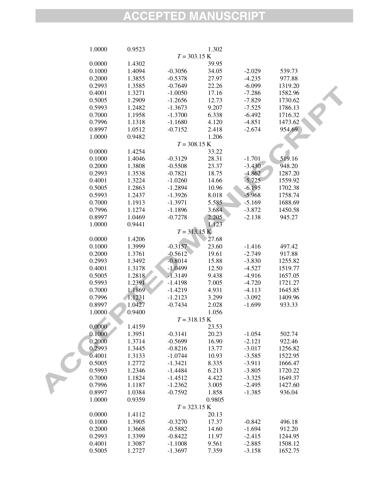| 1.0000           | 0.9523 |                        | 1.302  |          |         |
|------------------|--------|------------------------|--------|----------|---------|
|                  |        | $T = 303.15 K$         |        |          |         |
| 0.0000           | 1.4302 |                        | 39.95  |          |         |
| 0.1000           | 1.4094 | $-0.3056$              | 34.05  | $-2.029$ | 539.73  |
| 0.2000           | 1.3855 | $-0.5378$              | 27.97  | $-4.235$ | 977.88  |
| 0.2993           | 1.3585 | $-0.7649$              | 22.26  | $-6.099$ | 1319.20 |
| 0.4001           | 1.3271 | $-1.0050$              | 17.16  | $-7.286$ | 1582.96 |
| 0.5005           | 1.2909 | $-1.2656$              | 12.73  | $-7.829$ | 1730.62 |
| 0.5993           | 1.2482 | $-1.3673$              | 9.207  | $-7.525$ | 1786.13 |
| 0.7000           | 1.1958 | $-1.3700$              | 6.338  | $-6.492$ | 1716.32 |
| 0.7996           | 1.1318 | $-1.1680$              | 4.120  | $-4.851$ | 1473.62 |
| 0.8997           | 1.0512 | $-0.7152$              | 2.418  | $-2.674$ | 954.69  |
| 1.0000           | 0.9482 |                        | 1.206  |          |         |
|                  |        | $T = 308.15 K$         |        |          |         |
| 0.0000           | 1.4254 |                        | 33.22  |          |         |
| 0.1000           | 1.4046 | $-0.3129$              | 28.31  | $-1.701$ | 519.16  |
|                  |        |                        |        |          |         |
| 0.2000           | 1.3808 | $-0.5508$              | 23.37  | $-3.430$ | 948.20  |
| 0.2993<br>0.4001 | 1.3538 | $-0.7821$              | 18.75  | $-4.862$ | 1287.20 |
|                  | 1.3224 | $-1.0260$              | 14.66  | $-5.725$ | 1559.92 |
| 0.5005           | 1.2863 | $-1.2894$              | 10.96  | $-6.195$ | 1702.38 |
| 0.5993           | 1.2437 | $-1.3926$              | 8.018  | $-5.968$ | 1758.74 |
| 0.7000           | 1.1913 | $-1.3971$              | 5.585  | $-5.169$ | 1688.69 |
| 0.7996           | 1.1274 | $-1.1896$              | 3.684  | $-3.872$ | 1450.58 |
| 0.8997           | 1.0469 | $-0.7278$              | 2.205  | $-2.138$ | 945.27  |
| 1.0000           | 0.9441 |                        | 1.123  |          |         |
|                  |        | $T = 313.15 \text{ K}$ |        |          |         |
| 0.0000           | 1.4206 |                        | 27.68  |          |         |
| 0.1000           | 1.3999 | $-0.3157$              | 23.60  | $-1.416$ | 497.42  |
| 0.2000           | 1.3761 | $-0.5612$              | 19.61  | $-2.749$ | 917.88  |
| 0.2993           | 1.3492 | $-0.8014$              | 15.88  | $-3.830$ | 1255.82 |
| 0.4001           | 1.3178 | $-1.0499$              | 12.50  | $-4.527$ | 1519.77 |
| 0.5005           | 1.2818 | $-1.3149$              | 9.438  | $-4.916$ | 1657.05 |
| 0.5993           | 1.2391 | $-1.4198$              | 7.005  | $-4.720$ | 1721.27 |
| 0.7000           | 1.1869 | $-1.4219$              | 4.931  | $-4.113$ | 1645.85 |
| 0.7996           | 1.1231 | $-1.2123$              | 3.299  | $-3.092$ | 1409.96 |
| 0.8997           | 1.0427 | $-0.7434$              | 2.028  | $-1.699$ | 933.33  |
| 1.0000           | 0.9400 |                        | 1.056  |          |         |
|                  |        | $T = 318.15 K$         |        |          |         |
| 0.0000           | 1.4159 |                        | 23.53  |          |         |
| 0.1000           | 1.3951 | $-0.3141$              | 20.23  | $-1.054$ | 502.74  |
| 0.2000           | 1.3714 | $-0.5699$              | 16.90  | $-2.121$ | 922.46  |
| 0.2993           | 1.3445 | $-0.8216$              | 13.77  | $-3.017$ | 1256.82 |
| 0.4001           | 1.3133 | $-1.0744$              | 10.93  | $-3.585$ | 1522.95 |
| 0.5005           | 1.2772 | $-1.3421$              | 8.335  | $-3.911$ | 1666.47 |
| 0.5993           | 1.2346 | $-1.4484$              | 6.213  | $-3.805$ | 1720.22 |
| 0.7000           | 1.1824 | $-1.4512$              | 4.422  | $-3.325$ | 1649.37 |
| 0.7996           | 1.1187 | $-1.2362$              | 3.005  | $-2.495$ | 1427.60 |
| 0.8997           | 1.0384 | $-0.7592$              | 1.858  | $-1.385$ | 936.04  |
| 1.0000           | 0.9359 |                        | 0.9805 |          |         |
|                  |        | $T = 323.15 K$         |        |          |         |
| 0.0000           | 1.4112 |                        | 20.13  |          |         |
| 0.1000           | 1.3905 | $-0.3270$              | 17.37  | $-0.842$ | 496.18  |
| 0.2000           | 1.3668 | $-0.5882$              | 14.60  | $-1.694$ | 912.20  |
| 0.2993           | 1.3399 | $-0.8422$              | 11.97  | $-2.415$ | 1244.95 |
| 0.4001           | 1.3087 | $-1.1008$              | 9.561  | $-2.885$ | 1508.12 |
| 0.5005           | 1.2727 | $-1.3697$              | 7.359  | $-3.158$ | 1652.75 |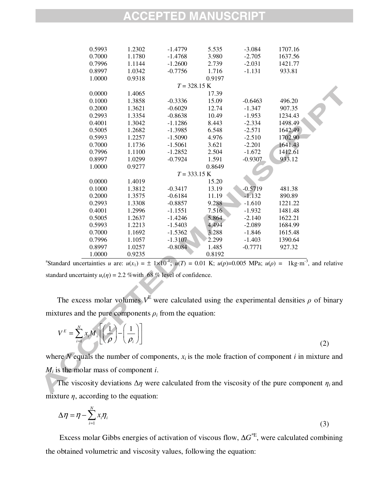| 0.5993 | 1.2302 | $-1.4779$      | 5.535  | $-3.084$  | 1707.16 |  |
|--------|--------|----------------|--------|-----------|---------|--|
| 0.7000 | 1.1780 | $-1.4768$      | 3.980  | $-2.705$  | 1637.56 |  |
| 0.7996 | 1.1144 | $-1.2600$      | 2.739  | $-2.031$  | 1421.77 |  |
| 0.8997 | 1.0342 | $-0.7756$      | 1.716  | $-1.131$  | 933.81  |  |
| 1.0000 | 0.9318 |                | 0.9197 |           |         |  |
|        |        | $T = 328.15 K$ |        |           |         |  |
| 0.0000 | 1.4065 |                | 17.39  |           |         |  |
| 0.1000 | 1.3858 | $-0.3336$      | 15.09  | $-0.6463$ | 496.20  |  |
| 0.2000 | 1.3621 | $-0.6029$      | 12.74  | $-1.347$  | 907.35  |  |
| 0.2993 | 1.3354 | $-0.8638$      | 10.49  | $-1.953$  | 1234.43 |  |
| 0.4001 | 1.3042 | $-1.1286$      | 8.443  | $-2.334$  | 1498.49 |  |
| 0.5005 | 1.2682 | $-1.3985$      | 6.548  | $-2.571$  | 1642.49 |  |
| 0.5993 | 1.2257 | $-1.5090$      | 4.976  | $-2.510$  | 1702.90 |  |
| 0.7000 | 1.1736 | $-1.5061$      | 3.621  | $-2.201$  | 1641.43 |  |
| 0.7996 | 1.1100 | $-1.2852$      | 2.504  | $-1.672$  | 1412.61 |  |
| 0.8997 | 1.0299 | $-0.7924$      | 1.591  | $-0.9307$ | 933.12  |  |
| 1.0000 | 0.9277 |                | 0.8649 |           |         |  |
|        |        | $T = 333.15$ K |        |           |         |  |
| 0.0000 | 1.4019 |                | 15.20  |           |         |  |
| 0.1000 | 1.3812 | $-0.3417$      | 13.19  | $-0.5719$ | 481.38  |  |
| 0.2000 | 1.3575 | $-0.6184$      | 11.19  | $-1.132$  | 890.89  |  |
| 0.2993 | 1.3308 | $-0.8857$      | 9.288  | $-1.610$  | 1221.22 |  |
| 0.4001 | 1.2996 | $-1.1551$      | 7.516  | $-1.932$  | 1481.48 |  |
| 0.5005 | 1.2637 | $-1.4246$      | 5.864  | $-2.140$  | 1622.21 |  |
| 0.5993 | 1.2213 | $-1.5403$      | 4.494  | $-2.089$  | 1684.99 |  |
| 0.7000 | 1.1692 | $-1.5362$      | 3.288  | $-1.846$  | 1615.48 |  |
| 0.7996 | 1.1057 | $-1.3107$      | 2.299  | $-1.403$  | 1390.64 |  |
| 0.8997 | 1.0257 | $-0.8084$      | 1.485  | $-0.7771$ | 927.32  |  |
| 1.0000 | 0.9235 |                | 0.8192 |           |         |  |

<sup>a</sup>Standard uncertainties *u* are:  $u(x_1) = \pm 1 \times 10^{-4}$ ;  $u(T) = 0.01$  K;  $u(p)=0.005$  MPa;  $u(\rho) = 1 \text{kg} \cdot \text{m}^{-3}$ , and relative standard uncertainty  $u_r(\eta) = 2.2$  % with 68 % level of confidence.

The excess molar volumes  $V^E$  were calculated using the experimental densities  $\rho$  of binary mixtures and the pure components  $\rho_i$  from the equation:

$$
V^{E} = \sum_{i=1}^{N} x_{i} M_{i} \left[ \left( \frac{1}{\rho} \right) - \left( \frac{1}{\rho_{i}} \right) \right]
$$
 (2)

where  $N$  equals the number of components,  $x_i$  is the mole fraction of component  $i$  in mixture and *Mi* is the molar mass of component *i*.

The viscosity deviations  $\Delta \eta$  were calculated from the viscosity of the pure component  $\eta_i$  and mixture  $\eta$ , according to the equation:

$$
\Delta \eta = \eta - \sum_{i=1}^{N} x_i \eta_i \tag{3}
$$

Excess molar Gibbs energies of activation of viscous flow, ∆*G* \*E, were calculated combining the obtained volumetric and viscosity values, following the equation: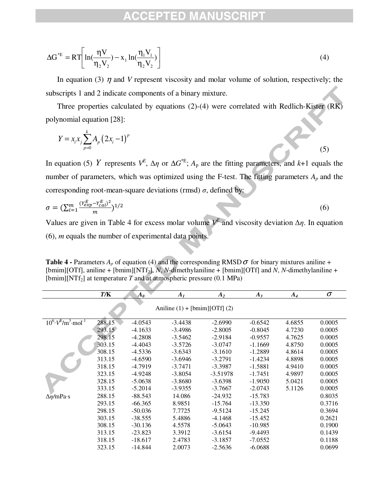$$
\Delta G^{*E} = RT \left[ ln(\frac{\eta V}{\eta_2 V_2}) - x_1 ln(\frac{\eta_1 V_1}{\eta_2 V_2}) \right]
$$
\n(4)

In equation (3)  $\eta$  and *V* represent viscosity and molar volume of solution, respectively; the subscripts 1 and 2 indicate components of a binary mixture.

Three properties calculated by equations (2)-(4) were correlated with Redlich-Kister (RK) polynomial equation [28]:

$$
Y = x_i x_j \sum_{p=0}^{k} A_p (2x_i - 1)^p
$$
 (5)

In equation (5) *Y* represents  $V^E$ ,  $\Delta \eta$  or  $\Delta G^*$ <sup>E</sup>;  $A_p$  are the fitting parameters, and *k*+1 equals the number of parameters, which was optimized using the F-test. The fitting parameters  $A_p$  and the corresponding root-mean-square deviations (rmsd)  $\sigma$ , defined by:

$$
\sigma = (\sum_{i=1}^{m} \frac{(Y_{exp}^E - Y_{cal}^E)^2}{m})^{1/2}
$$
(6)

Values are given in Table 4 for excess molar volume  $V^E$  and viscosity deviation  $\Delta \eta$ . In equation (6), *m* equals the number of experimental data points.

**Table 4 -** Parameters  $A_p$  of equation (4) and the corresponding RMSD  $\sigma$  for binary mixtures aniline + [bmim][OTf], aniline + [bmim][NTf<sub>2</sub>], *N*, *N*-dimethylaniline + [bmim][OTf] and *N*, *N*-dimethylaniline + [bmim][NTf<sub>2</sub>] at temperature *T* and at atmospheric pressure (0.1 MPa)

|                                       | T/K    | $\boldsymbol{A_0}$ | A <sub>I</sub>                               | $A_2$      | $A_3$     | $A_4$  | $\sigma$ |
|---------------------------------------|--------|--------------------|----------------------------------------------|------------|-----------|--------|----------|
|                                       |        |                    | Aniline $(1) + [\text{bmin}][\text{OTf}](2)$ |            |           |        |          |
| $10^6 \cdot V^{E/m^3} \cdot mol^{-1}$ | 288.15 | $-4.0543$          | $-3.4438$                                    | $-2.6990$  | $-0.6542$ | 4.6855 | 0.0005   |
|                                       | 293.15 | $-4.1633$          | $-3.4986$                                    | $-2.8005$  | $-0.8045$ | 4.7230 | 0.0005   |
|                                       | 298.15 | -4.2808            | $-3.5462$                                    | $-2.9184$  | $-0.9557$ | 4.7625 | 0.0005   |
|                                       | 303.15 | $-4.4043$          | $-3.5726$                                    | $-3.0747$  | $-1.1669$ | 4.8750 | 0.0005   |
|                                       | 308.15 | $-4.5336$          | $-3.6343$                                    | $-3.1610$  | $-1.2889$ | 4.8614 | 0.0005   |
|                                       | 313.15 | $-4.6590$          | $-3.6946$                                    | $-3.2791$  | $-1.4234$ | 4.8898 | 0.0005   |
|                                       | 318.15 | $-4.7919$          | $-3.7471$                                    | $-3.3987$  | $-1.5881$ | 4.9410 | 0.0005   |
|                                       | 323.15 | $-4.9248$          | $-3.8054$                                    | $-3.51978$ | $-1.7451$ | 4.9897 | 0.0005   |
|                                       | 328.15 | $-5.0638$          | $-3.8680$                                    | $-3.6398$  | $-1.9050$ | 5.0421 | 0.0005   |
|                                       | 333.15 | $-5.2014$          | $-3.9355$                                    | $-3.7667$  | $-2.0743$ | 5.1126 | 0.0005   |
| $\Delta \eta/mPa \cdot s$             | 288.15 | $-88.543$          | 14.086                                       | $-24.932$  | $-15.783$ |        | 0.8035   |
|                                       | 293.15 | $-66.365$          | 8.9851                                       | $-15.764$  | $-13.350$ |        | 0.3716   |
|                                       | 298.15 | $-50.036$          | 7.7725                                       | $-9.5124$  | $-15.245$ |        | 0.3694   |
|                                       | 303.15 | $-38.555$          | 5.4886                                       | $-4.1468$  | $-15.452$ |        | 0.2621   |
|                                       | 308.15 | $-30.136$          | 4.5578                                       | $-5.0643$  | $-10.985$ |        | 0.1900   |
|                                       | 313.15 | $-23.823$          | 3.3912                                       | $-3.6154$  | $-9.4493$ |        | 0.1439   |
|                                       | 318.15 | $-18.617$          | 2.4783                                       | $-3.1857$  | $-7.0552$ |        | 0.1188   |
|                                       | 323.15 | $-14.844$          | 2.0073                                       | $-2.5636$  | $-6.0688$ |        | 0.0699   |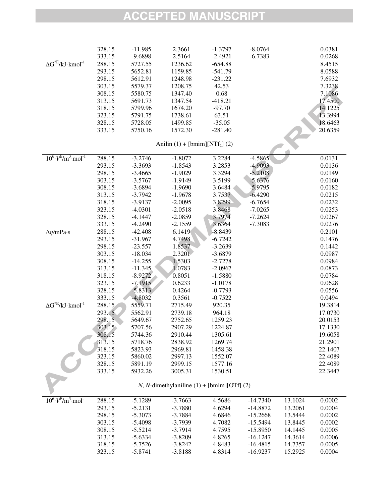|                                               | 328.15 | $-11.985$ | 2.3661                          | $-1.3797$ | $-8.0764$  |         | 0.0381  |
|-----------------------------------------------|--------|-----------|---------------------------------|-----------|------------|---------|---------|
|                                               | 333.15 | $-9.6898$ | 2.5164                          | $-2.4921$ | $-6.7383$  |         | 0.0268  |
| $\Delta G^{*E}/kJ\cdot kmol^{-1}$             | 288.15 | 5727.55   | 1236.62                         | $-654.88$ |            |         | 8.4515  |
|                                               | 293.15 | 5652.81   | 1159.85                         | $-541.79$ |            |         | 8.0588  |
|                                               | 298.15 | 5612.91   | 1248.98                         | $-231.22$ |            |         | 7.6932  |
|                                               | 303.15 | 5579.37   | 1208.75                         | 42.53     |            |         | 7.3238  |
|                                               | 308.15 | 5580.75   | 1347.40                         | 0.68      |            |         | 7.1086  |
|                                               | 313.15 | 5691.73   | 1347.54                         | $-418.21$ |            |         | 17.4500 |
|                                               | 318.15 | 5799.96   | 1674.20                         | $-97.70$  |            |         | 14.1225 |
|                                               | 323.15 | 5791.75   | 1738.61                         | 63.51     |            |         | 13.3994 |
|                                               | 328.15 | 5728.05   | 1499.85                         | $-35.05$  |            |         | 18.6463 |
|                                               | 333.15 | 5750.16   | 1572.30                         | $-281.40$ |            |         | 20.6359 |
|                                               |        |           | Anilin $(1) + [bmin][NTf2] (2)$ |           |            |         |         |
| $10^6 \cdot V^{E/m^3}$ ·mol <sup>-1</sup>     | 288.15 | $-3.2746$ | $-1.8072$                       | 3.2284    | $-4.5865$  |         | 0.0131  |
|                                               | 293.15 | $-3.3693$ | $-1.8543$                       | 3.2853    | $-4.9093$  |         | 0.0136  |
|                                               | 298.15 | $-3.4665$ | $-1.9029$                       | 3.3294    | $-5.2108$  |         | 0.0149  |
|                                               | 303.15 | $-3.5767$ | $-1.9149$                       | 3.5199    | $-5.6376$  |         | 0.0160  |
|                                               | 308.15 | $-3.6894$ | $-1.9690$                       | 3.6484    | $-5.9795$  |         | 0.0182  |
|                                               | 313.15 | $-3.7942$ | $-1.9678$                       | 3.7537    | $-6.4290$  |         | 0.0215  |
|                                               | 318.15 | $-3.9137$ | $-2.0095$                       | 3.8299    | $-6.7654$  |         | 0.0232  |
|                                               | 323.15 | $-4.0301$ | $-2.0518$                       | 3.8468    | $-7.0265$  |         | 0.0253  |
|                                               | 328.15 | $-4.1447$ | $-2.0859$                       | 3.7974    | $-7.2624$  |         | 0.0267  |
|                                               | 333.15 | $-4.2490$ | $-2.1559$                       | 3.6364    | $-7.3083$  |         | 0.0276  |
| $\Delta \eta/mPa \cdot s$                     | 288.15 | $-42.408$ | 6.1419                          | $-8.8439$ |            |         | 0.2101  |
|                                               | 293.15 | $-31.967$ | 4.7498                          | $-6.7242$ |            |         | 0.1476  |
|                                               | 298.15 | $-23.557$ | 1.8537                          | $-3.2639$ |            |         | 0.1442  |
|                                               | 303.15 | $-18.034$ | 2.3201                          | $-3.6879$ |            |         | 0.0987  |
|                                               | 308.15 | $-14.255$ | 1.5303                          | $-2.7278$ |            |         | 0.0984  |
|                                               | 313.15 | $-11.345$ | 1.0783                          | $-2.0967$ |            |         | 0.0873  |
|                                               | 318.15 | $-8.9272$ | 0.8051                          | $-1.5880$ |            |         | 0.0784  |
|                                               | 323.15 | $-7.1915$ | 0.6233                          | $-1.0178$ |            |         | 0.0628  |
|                                               | 328.15 | $-5.8313$ | 0.4264                          | $-0.7793$ |            |         | 0.0556  |
|                                               | 333.15 | $-4.8032$ | 0.3561                          | $-0.7522$ |            |         | 0.0494  |
| $\Delta G^{*E}/kJ\cdot kmol^{-1}$             | 288.15 | 5559.71   | 2715.49                         | 920.35    |            |         | 19.3814 |
|                                               | 293.15 | 5562.91   | 2739.18                         | 964.18    |            |         | 17.0730 |
|                                               | 298.15 | 5649.67   | 2752.65                         | 1259.23   |            |         | 20.0153 |
|                                               | 303.15 | 5707.56   | 2907.29                         | 1224.87   |            |         | 17.1330 |
|                                               | 308.15 | 5744.36   | 2910.44                         | 1305.61   |            |         | 19.6058 |
|                                               | 313.15 | 5718.76   | 2838.92                         | 1269.74   |            |         | 21.2901 |
|                                               | 318.15 | 5823.93   | 2969.81                         | 1458.38   |            |         | 22.1407 |
|                                               | 323.15 | 5860.02   | 2997.13                         | 1552.07   |            |         | 22.4089 |
|                                               | 328.15 | 5891.19   | 2999.15                         | 1577.16   |            |         | 22.4089 |
|                                               | 333.15 | 5932.26   | 3005.31                         | 1530.51   |            |         | 22.3447 |
| $N$ , N-dimethylaniline (1) + [bmim][OTf] (2) |        |           |                                 |           |            |         |         |
| $10^6 \cdot V^E/m^3 \cdot mol^{-}$            | 288.15 | $-5.1289$ | $-3.7663$                       | 4.5686    | $-14.7340$ | 13.1024 | 0.0002  |
|                                               | 293.15 | $-5.2131$ | $-3.7880$                       | 4.6294    | $-14.8872$ | 13.2061 | 0.0004  |
|                                               | 298.15 | $-5.3073$ | $-3.7884$                       | 4.6846    | $-15.2668$ | 13.5444 | 0.0002  |
|                                               | 303.15 | $-5.4098$ | $-3.7939$                       | 4.7082    | $-15.5494$ | 13.8445 | 0.0002  |
|                                               | 308.15 | $-5.5214$ | $-3.7914$                       | 4.7595    | $-15.8950$ | 14.1445 | 0.0005  |
|                                               | 313.15 | $-5.6334$ | $-3.8209$                       | 4.8265    | $-16.1247$ | 14.3614 | 0.0006  |
|                                               | 318.15 | $-5.7526$ | $-3.8242$                       | 4.8483    | $-16.4815$ | 14.7357 | 0.0005  |
|                                               | 323.15 | $-5.8741$ | $-3.8188$                       | 4.8314    | $-16.9237$ | 15.2925 | 0.0004  |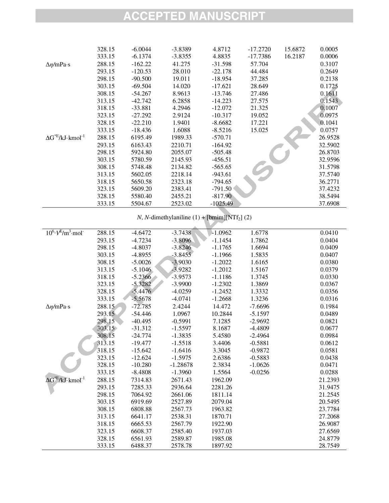|                                    | 328.15 | $-6.0044$ | $-3.8389$ | 4.8712     | $-17.2720$ | 15.6872 | 0.0005  |
|------------------------------------|--------|-----------|-----------|------------|------------|---------|---------|
|                                    | 333.15 | $-6.1374$ | $-3.8355$ | 4.8835     | $-17.7386$ | 16.2187 | 0.0006  |
| $\Delta \eta/mPa \cdot s$          | 288.15 | $-162.22$ | 41.275    | $-31.598$  | 57.704     |         | 0.3107  |
|                                    | 293.15 | $-120.53$ | 28.010    | $-22.178$  | 44.484     |         | 0.2649  |
|                                    | 298.15 | $-90.500$ | 19.011    | $-18.954$  | 37.285     |         | 0.2138  |
|                                    | 303.15 | -69.504   | 14.020    | $-17.621$  | 28.649     |         | 0.1725  |
|                                    | 308.15 | $-54.267$ | 8.9613    | $-13.746$  | 27.486     |         | 0.1611  |
|                                    | 313.15 | $-42.742$ | 6.2858    | $-14.223$  | 27.575     |         | 0.1543  |
|                                    | 318.15 | $-33.881$ | 4.2946    | $-12.072$  | 21.325     |         | 0.1007  |
|                                    | 323.15 | $-27.292$ | 2.9124    | $-10.317$  | 19.052     |         | 0.0975  |
|                                    | 328.15 | $-22.210$ | 1.9401    | $-8.6682$  | 17.221     |         | 0.1041  |
|                                    | 333.15 | $-18.436$ | 1.6088    | $-8.5216$  | 15.025     |         | 0.0757  |
| $\Delta G^{*E}/kJ \cdot kmol^{-1}$ | 288.15 | 6195.49   | 1989.33   | $-570.71$  |            |         | 26.9528 |
|                                    | 293.15 | 6163.43   | 2210.71   | $-164.92$  |            |         | 32.5902 |
|                                    | 298.15 | 5924.80   | 2055.07   | $-505.48$  |            |         | 26.8703 |
|                                    | 303.15 | 5780.59   | 2145.93   | $-456.51$  |            |         | 32.9596 |
|                                    | 308.15 | 5748.48   | 2134.82   | $-565.65$  |            |         | 31.5798 |
|                                    | 313.15 | 5602.05   | 2218.14   | $-943.61$  |            |         | 37.5740 |
|                                    | 318.15 | 5650.58   | 2323.18   | $-794.65$  |            |         | 36.2771 |
|                                    | 323.15 | 5609.20   | 2383.41   | $-791.50$  |            |         | 37.4232 |
|                                    | 328.15 | 5580.40   | 2455.21   | $-817.90$  |            |         | 38.5494 |
|                                    | 333.15 | 5504.67   | 2523.02   | $-1025.49$ |            |         | 37.6908 |

*N*, *N*-dimethylaniline (1) +  $[bmin][NTf_2]$  (2)

| $10^6 \cdot V^E/m^3 \cdot mol^{-}$<br>288.15<br>$-3.7438$<br>$-1.0962$<br>$-4.6472$<br>1.6778<br>$-3.8096$<br>293.15<br>$-1.1454$<br>$-4.7234$<br>1.7862 | 0.0410<br>0.0404 |
|----------------------------------------------------------------------------------------------------------------------------------------------------------|------------------|
|                                                                                                                                                          |                  |
|                                                                                                                                                          |                  |
| 298.15<br>$-4.8037$<br>$-3.8246$<br>$-1.1765$<br>1.6694                                                                                                  | 0.0409           |
| $-3.8455$<br>303.15<br>$-4.8955$<br>$-1.1966$<br>1.5835                                                                                                  | 0.0407           |
| 308.15<br>$-5.0026$<br>$-3.9030$<br>$-1.2022$<br>1.6165                                                                                                  | 0.0380           |
| 313.15<br>$-5.1046$<br>$-3.9282$<br>$-1.2012$<br>1.5167                                                                                                  | 0.0379           |
| 318.15<br>$-5.2366$<br>$-3.9573$<br>$-1.1186$<br>1.3745                                                                                                  | 0.0330           |
| $-5.3282$<br>323.15<br>$-3.9900$<br>$-1.2302$<br>1.3869                                                                                                  | 0.0367           |
| 328.15<br>$-5.4476$<br>$-4.0259$<br>$-1.2452$<br>1.3332                                                                                                  | 0.0356           |
| 333.15<br>$-5.5678$<br>$-4.0741$<br>$-1.2668$<br>1.3236                                                                                                  | 0.0316           |
| 288.15<br>$-72.785$<br>2.4244<br>14.472<br>$-7.6696$<br>$\Delta \eta/mPa \cdot s$                                                                        | 0.1984           |
| 293.15<br>$-54.446$<br>1.0967<br>10.2844<br>$-5.1597$                                                                                                    | 0.0489           |
| 298.15<br>$-40.495$<br>$-0.5991$<br>7.1285<br>$-2.9692$                                                                                                  | 0.0821           |
| $-31.312$<br>303.15<br>$-1.5597$<br>8.1687<br>$-4.4809$                                                                                                  | 0.0677           |
| 308.15<br>$-1.3835$<br>5.4580<br>$-24.774$<br>$-2.4964$                                                                                                  | 0.0984           |
| 313.15<br>$-1.5518$<br>$-19.477$<br>3.4406<br>$-0.5881$                                                                                                  | 0.0612           |
| 318.15<br>$-15.642$<br>$-1.6416$<br>3.3045<br>$-0.9872$                                                                                                  | 0.0581           |
| 323.15<br>2.6386<br>$-12.624$<br>$-1.5975$<br>$-0.5883$                                                                                                  | 0.0438           |
| 328.15<br>$-10.280$<br>$-1.28678$<br>2.3834<br>$-1.0626$                                                                                                 | 0.0471           |
| 333.15<br>$-8.4808$<br>1.5564<br>$-1.3960$<br>$-0.0256$                                                                                                  | 0.0288           |
| $\Delta G^{*E}/kJ\cdot kmol^{-1}$<br>288.15<br>7314.83<br>2671.43<br>1962.09                                                                             | 21.2393          |
| 293.15<br>7285.33<br>2936.64<br>2281.26                                                                                                                  | 31.9475          |
| 298.15<br>7064.92<br>2661.06<br>1811.14                                                                                                                  | 21.2545          |
| 303.15<br>6919.69<br>2527.89<br>2079.04                                                                                                                  | 20.5495          |
| 308.15<br>6808.88<br>2567.73<br>1963.82                                                                                                                  | 23.7784          |
| 313.15<br>6641.17<br>2538.31<br>1870.71                                                                                                                  | 27.2068          |
| 318.15<br>6665.53<br>2567.79<br>1922.90                                                                                                                  | 26.9087          |
| 323.15<br>6608.37<br>2585.40<br>1937.03                                                                                                                  | 27.6569          |
| 328.15<br>6561.93<br>2589.87<br>1985.08                                                                                                                  | 24.8779          |
| 333.15<br>6488.37<br>2578.78<br>1897.92                                                                                                                  | 28.7549          |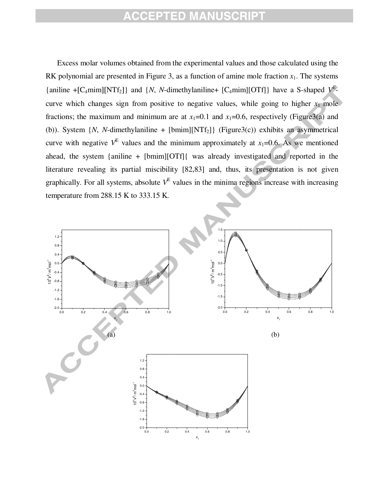curve with negative  $V^E$  values and the minimum approximately at  $x_1=0.6$ . As we mentioned Excess molar volumes obtained from the experimental values and those calculated using the RK polynomial are presented in Figure 3, as a function of amine mole fraction  $x_1$ . The systems {aniline +[C<sub>4</sub>mim][NTf<sub>2</sub>]} and {*N*, *N*-dimethylaniline+ [C<sub>4</sub>mim][OTf]} have a S-shaped  $V^{E}$ curve which changes sign from positive to negative values, while going to higher  $x_1$  mole fractions; the maximum and minimum are at  $x_1=0.1$  and  $x_1=0.6$ , respectively (Figure3(a) and (b)). System  $\{N, N\text{-dimethylaniline + [bmin][NTf_2]\}$  (Figure3(c)) exhibits an asymmetrical ahead, the system {aniline + [bmim][OTf]{ was already investigated and reported in the literature revealing its partial miscibility [82,83] and, thus, its presentation is not given graphically. For all systems, absolute  $V^E$  values in the minima regions increase with increasing temperature from 288.15 K to 333.15 K.

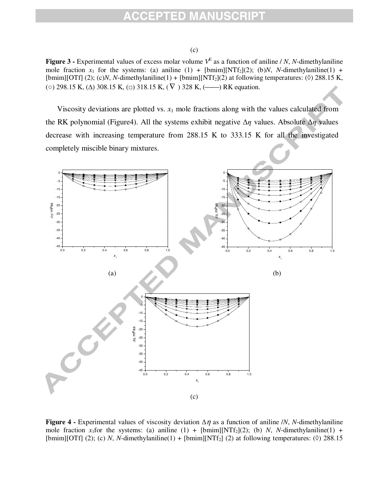#### (c)

**Figure 3** - Experimental values of excess molar volume  $V<sup>E</sup>$  as a function of aniline / *N*, *N*-dimethylaniline mole fraction  $x_1$  for the systems: (a) aniline (1) + [bmim][NTf<sub>2</sub>](2); (b)*N*, *N*-dimethylaniline(1) + [bmim][OTf] (2); (c)*N*, *N*-dimethylaniline(1) + [bmim][NTf<sub>2</sub>](2) at following temperatures: ( $\Diamond$ ) 288.15 K, (○) 298.15 K, ( $\Delta$ ) 308.15 K, ( $\Box$ ) 318.15 K, ( $\nabla$ ) 328 K, (——) RK equation.

Viscosity deviations are plotted vs.  $x_1$  mole fractions along with the values calculated from the RK polynomial (Figure4). All the systems exhibit negative  $\Delta \eta$  values. Absolute  $\Delta \eta$  values decrease with increasing temperature from 288.15 K to 333.15 K for all the investigated completely miscible binary mixtures.



**Figure 4 -** Experimental values of viscosity deviation  $\Delta \eta$  as a function of aniline /*N*, *N*-dimethylaniline mole fraction  $x_1$  for the systems: (a) aniline (1) + [bmim][NTf<sub>2</sub>](2); (b) *N*, *N*-dimethylaniline(1) + [bmim][OTf] (2); (c) *N*, *N*-dimethylaniline(1) + [bmim][NTf<sub>2</sub>] (2) at following temperatures: ( $\Diamond$ ) 288.15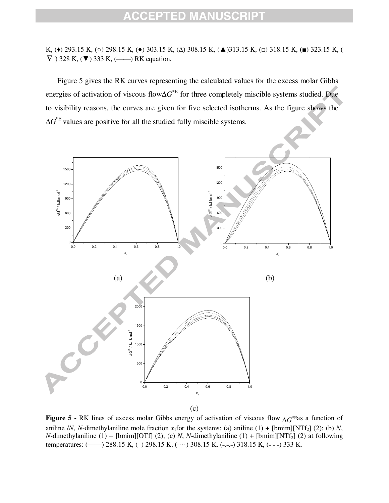K, (◆) 293.15 K, (○) 298.15 K, (●) 303.15 K, (△) 308.15 K, (▲)313.15 K, (□) 318.15 K, (■) 323.15 K, (  $\nabla$ ) 328 K,  $(\blacktriangledown)$  333 K,  $(\blacktriangleleft)$  RK equation.

Figure 5 gives the RK curves representing the calculated values for the excess molar Gibbs energies of activation of viscous flow∆*G* \*E for three completely miscible systems studied. Due to visibility reasons, the curves are given for five selected isotherms. As the figure shows the ∆*G* \*E values are positive for all the studied fully miscible systems.



**Figure 5 -** RK lines of excess molar Gibbs energy of activation of viscous flow ∆*G* \*Eas a function of aniline /*N*, *N*-dimethylaniline mole fraction  $x_1$  for the systems: (a) aniline (1) + [bmim][NTf<sub>2</sub>] (2); (b) *N*, *N*-dimethylaniline (1) + [bmim][OTf] (2); (c) *N*, *N*-dimethylaniline (1) + [bmim][NTf<sub>2</sub>] (2) at following temperatures:  $(\_\_\_\)$  288.15 K,  $(\_\)_$  298.15 K,  $(\_\cdot\_\)_$  308.15 K,  $(\_\cdot\_\_\)$  318.15 K,  $(\_\cdot\_\)_$  333 K.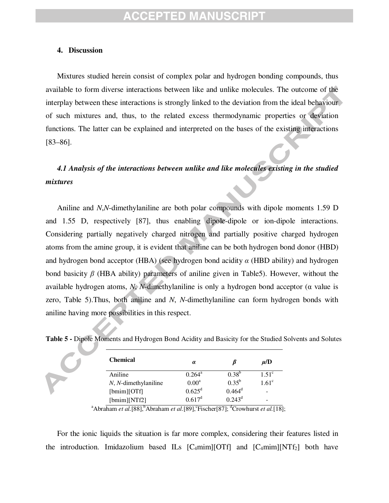#### **4. Discussion**

Mixtures studied herein consist of complex polar and hydrogen bonding compounds, thus available to form diverse interactions between like and unlike molecules. The outcome of the interplay between these interactions is strongly linked to the deviation from the ideal behaviour of such mixtures and, thus, to the related excess thermodynamic properties or deviation functions. The latter can be explained and interpreted on the bases of the existing interactions [83–86].

#### *4.1 Analysis of the interactions between unlike and like molecules existing in the studied mixtures*

Aniline and *N*,*N*-dimethylaniline are both polar compounds with dipole moments 1.59 D and 1.55 D, respectively [87], thus enabling dipole-dipole or ion-dipole interactions. Considering partially negatively charged nitrogen and partially positive charged hydrogen atoms from the amine group, it is evident that aniline can be both hydrogen bond donor (HBD) and hydrogen bond acceptor (HBA) (see hydrogen bond acidity  $\alpha$  (HBD ability) and hydrogen bond basicity  $\beta$  (HBA ability) parameters of aniline given in Table5). However, without the available hydrogen atoms, *N*, *N*-dimethylaniline is only a hydrogen bond acceptor ( $\alpha$  value is zero, Table 5).Thus, both aniline and *N*, *N*-dimethylaniline can form hydrogen bonds with aniline having more possibilities in this respect.

| <b>Chemical</b>            | $\alpha$           |            | $\mu/D$        |
|----------------------------|--------------------|------------|----------------|
| Aniline                    | $0.264^{\rm a}$    | $0.38^{b}$ | $1.51^{\circ}$ |
| $N$ , $N$ -dimethylaniline | $0.00^a$           | $0.35^{b}$ | $1.61^{\circ}$ |
| [bm][OTF]                  | $0.625^{\rm d}$    | $0.464^d$  |                |
| [bmin][NTf2]               | 0.617 <sup>d</sup> | $0.243^d$  | -              |

**Table 5 -** Dipole Moments and Hydrogen Bond Acidity and Basicity for the Studied Solvents and Solutes

<sup>a</sup>Abraham *et al.*[88],<sup>b</sup>Abraham *et al.*[89],<sup>c</sup>Fischer[87];<sup>d</sup>Crowhurst *et al.*[18];

For the ionic liquids the situation is far more complex, considering their features listed in the introduction. Imidazolium based ILs  $[C_4mim][**OTf**]$  and  $[C_4mim][**NTf**<sub>2</sub>]$  both have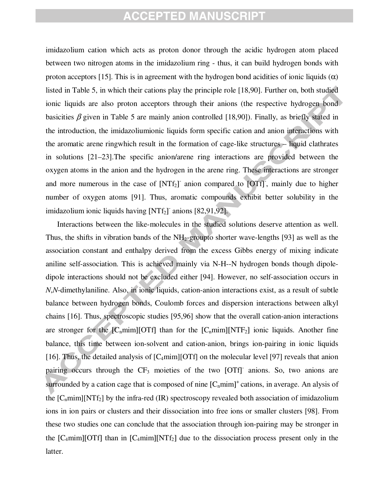the aromatic arene ringwhich result in the formation of cage-like structures – liquid clathrates imidazolium cation which acts as proton donor through the acidic hydrogen atom placed between two nitrogen atoms in the imidazolium ring - thus, it can build hydrogen bonds with proton acceptors [15]. This is in agreement with the hydrogen bond acidities of ionic liquids  $(\alpha)$ listed in Table 5, in which their cations play the principle role [18,90]. Further on, both studied ionic liquids are also proton acceptors through their anions (the respective hydrogen bond basicities  $\beta$  given in Table 5 are mainly anion controlled [18,90]). Finally, as briefly stated in the introduction, the imidazoliumionic liquids form specific cation and anion interactions with in solutions [21–23].The specific anion/arene ring interactions are provided between the oxygen atoms in the anion and the hydrogen in the arene ring. These interactions are stronger and more numerous in the case of  $[NTf_2]$  anion compared to  $[OTf]$ , mainly due to higher number of oxygen atoms [91]. Thus, aromatic compounds exhibit better solubility in the imidazolium ionic liquids having [NTf<sub>2</sub>] anions [82,91,92].

Interactions between the like-molecules in the studied solutions deserve attention as well. Thus, the shifts in vibration bands of the  $NH_2$ -groupto shorter wave-lengths [93] as well as the association constant and enthalpy derived from the excess Gibbs energy of mixing indicate aniline self-association. This is achieved mainly via N-H--N hydrogen bonds though dipoledipole interactions should not be excluded either [94]. However, no self-association occurs in *N*,*N*-dimethylaniline. Also, in ionic liquids, cation-anion interactions exist, as a result of subtle balance between hydrogen bonds, Coulomb forces and dispersion interactions between alkyl chains [16]. Thus, spectroscopic studies [95,96] show that the overall cation-anion interactions are stronger for the  $[C_nmin][\text{OTf}]$  than for the  $[C_nmin][\text{NTF}_2]$  ionic liquids. Another fine balance, this time between ion-solvent and cation-anion, brings ion-pairing in ionic liquids [16]. Thus, the detailed analysis of  $[C_4mim][OTf]$  on the molecular level [97] reveals that anion pairing occurs through the  $CF_3$  moieties of the two [OTf] anions. So, two anions are surrounded by a cation cage that is composed of nine  $[C_nmin]^+$  cations, in average. An alysis of the  $[C_nmin][NTf_2]$  by the infra-red  $(IR)$  spectroscopy revealed both association of imidazolium ions in ion pairs or clusters and their dissociation into free ions or smaller clusters [98]. From these two studies one can conclude that the association through ion-pairing may be stronger in the  $[C_4 \text{min}][\text{OTf}]$  than in  $[C_4 \text{min}][\text{NTf}_2]$  due to the dissociation process present only in the latter.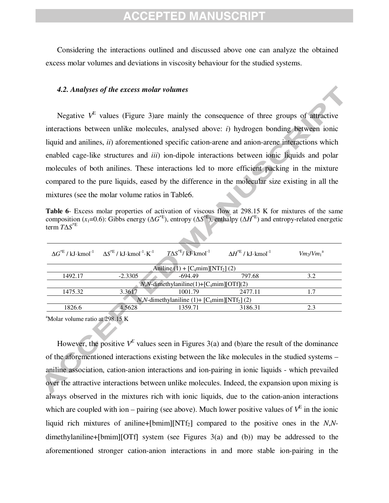Considering the interactions outlined and discussed above one can analyze the obtained excess molar volumes and deviations in viscosity behaviour for the studied systems.

#### *4.2. Analyses of the excess molar volumes*

liquid and anilines, *ii*) aforementioned specific cation-arene and anion-arene interactions which Negative  $V^E$  values (Figure 3)are mainly the consequence of three groups of attractive interactions between unlike molecules, analysed above: *i*) hydrogen bonding between ionic enabled cage-like structures and *iii*) ion-dipole interactions between ionic liquids and polar molecules of both anilines. These interactions led to more efficient packing in the mixture compared to the pure liquids, eased by the difference in the molecular size existing in all the mixtures (see the molar volume ratios in Table6.

**Table 6**- Excess molar properties of activation of viscous flow at 298.15 K for mixtures of the same composition (*x*<sub>1</sub>=0.6): Gibbs energy ( $\Delta G^*$ <sup>E</sup>), entropy ( $\Delta S^*$ <sup>E</sup>), enthalpy ( $\Delta H^*$ <sup>E</sup>) and entropy-related energetic term *T*∆*S* \*E

| $\Delta G^{*E}/kJ\cdot kmol^{-1}$ $\Delta S^{*E}/kJ\cdot kmol^{-1}\cdot K^{-1}$ | $T\Delta S^{*E}/\overline{kJ}$ kmol <sup>-1</sup> | $\Delta H^{*E}$ / kJ·kmol <sup>-1</sup> | $Vm_2/Vm_1^{\alpha}$                                                                          |  |  |  |
|---------------------------------------------------------------------------------|---------------------------------------------------|-----------------------------------------|-----------------------------------------------------------------------------------------------|--|--|--|
|                                                                                 |                                                   |                                         |                                                                                               |  |  |  |
| $-2.3305$                                                                       | $-694.49$                                         | 797.68                                  | 3.2                                                                                           |  |  |  |
|                                                                                 |                                                   |                                         |                                                                                               |  |  |  |
| 3.3617                                                                          | 1001.79                                           | 2477.11                                 |                                                                                               |  |  |  |
| $N, N$ -dimethylaniline (1)+ [C <sub>4</sub> mim][NTf <sub>2</sub> ] (2)        |                                                   |                                         |                                                                                               |  |  |  |
| 4.5628                                                                          | 1359.71                                           | 3186.31                                 | 2.3                                                                                           |  |  |  |
|                                                                                 |                                                   |                                         | Aniline $(1) + [C_4 \text{min}][NTf_2]$ (2)<br>$N,N$ -dimethylaniline(1)+ $[C_4$ mim][OTf](2) |  |  |  |

 $a^2$ Molar volume ratio at 298.15 K

However, the positive  $V^E$  values seen in Figures 3(a) and (b)are the result of the dominance of the aforementioned interactions existing between the like molecules in the studied systems – aniline association, cation-anion interactions and ion-pairing in ionic liquids - which prevailed over the attractive interactions between unlike molecules. Indeed, the expansion upon mixing is always observed in the mixtures rich with ionic liquids, due to the cation-anion interactions which are coupled with ion – pairing (see above). Much lower positive values of  $V<sup>E</sup>$  in the ionic liquid rich mixtures of aniline+[bmim][NTf<sub>2</sub>] compared to the positive ones in the *N*,*N*dimethylaniline+[bmim][OTf] system (see Figures 3(a) and (b)) may be addressed to the aforementioned stronger cation-anion interactions in and more stable ion-pairing in the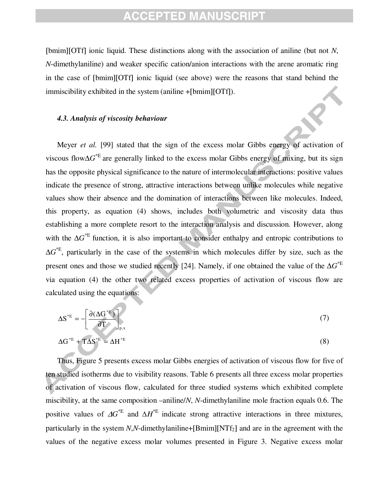[bmim][OTf] ionic liquid. These distinctions along with the association of aniline (but not *N*, *N*-dimethylaniline) and weaker specific cation/anion interactions with the arene aromatic ring in the case of [bmim][OTf] ionic liquid (see above) were the reasons that stand behind the immiscibility exhibited in the system (aniline +[bmim][OTf]).

#### *4.3. Analysis of viscosity behaviour*

 Meyer *et al.* [99] stated that the sign of the excess molar Gibbs energy of activation of viscous flow∆*G* \*E are generally linked to the excess molar Gibbs energy of mixing, but its sign has the opposite physical significance to the nature of intermolecular interactions: positive values indicate the presence of strong, attractive interactions between unlike molecules while negative values show their absence and the domination of interactions between like molecules. Indeed, this property, as equation (4) shows, includes both volumetric and viscosity data thus establishing a more complete resort to the interaction analysis and discussion. However, along with the Δ*G*<sup>\*E</sup> function, it is also important to consider enthalpy and entropic contributions to ∆*G* \*E, particularly in the case of the systems in which molecules differ by size, such as the present ones and those we studied recently [24]. Namely, if one obtained the value of the ∆*G* \*E via equation (4) the other two related excess properties of activation of viscous flow are calculated using the equations:

$$
\Delta S^{*E} = -\left[\frac{\partial (\Delta G^{*E})}{\partial T}\right]_{p,x}
$$
  

$$
\Delta G^{*E} + T\Delta S^{*E} = \Delta H^{*E}
$$
 (8)

Thus, Figure 5 presents excess molar Gibbs energies of activation of viscous flow for five of ten studied isotherms due to visibility reasons. Table 6 presents all three excess molar properties of activation of viscous flow, calculated for three studied systems which exhibited complete miscibility, at the same composition –aniline/*N*, *N*-dimethylaniline mole fraction equals 0.6. The positive values of  $\Delta G^*$ <sup>E</sup> and  $\Delta H^*$ <sup>E</sup> indicate strong attractive interactions in three mixtures, particularly in the system *N*,*N*-dimethylaniline+ $[Bmim][NTf<sub>2</sub>]$  and are in the agreement with the values of the negative excess molar volumes presented in Figure 3. Negative excess molar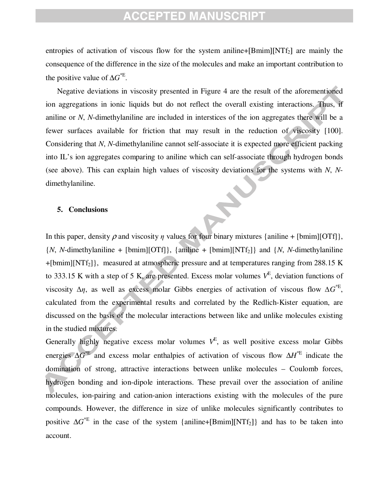entropies of activation of viscous flow for the system aniline+ $[Bmin][NTf<sub>2</sub>]$  are mainly the consequence of the difference in the size of the molecules and make an important contribution to the positive value of ∆*G*<sup>\*E</sup>.

 Considering that *N*, *N*-dimethylaniline cannot self-associate it is expected more efficient packing Negative deviations in viscosity presented in Figure 4 are the result of the aforementioned ion aggregations in ionic liquids but do not reflect the overall existing interactions. Thus, if aniline or *N*, *N*-dimethylaniline are included in interstices of the ion aggregates there will be a fewer surfaces available for friction that may result in the reduction of viscosity [100]. into IL's ion aggregates comparing to aniline which can self-associate through hydrogen bonds (see above). This can explain high values of viscosity deviations for the systems with *N*, *N*dimethylaniline.

#### **5. Conclusions**

In this paper, density  $\rho$  and viscosity  $\eta$  values for four binary mixtures {aniline + [bmim][OTf]},  ${N, N$ -dimethylaniline + [bmim][OTf]}, {aniline + [bmim][NTf<sub>2</sub>]} and  ${N, N}$ -dimethylaniline  $+[{\rm bmin}][{\rm N}T_{2}]$ , measured at atmospheric pressure and at temperatures ranging from 288.15 K to 333.15 K with a step of 5 K, are presented. Excess molar volumes  $V<sup>E</sup>$ , deviation functions of viscosity  $\Delta \eta$ , as well as excess molar Gibbs energies of activation of viscous flow  $\Delta G^{*E}$ , calculated from the experimental results and correlated by the Redlich-Kister equation, are discussed on the basis of the molecular interactions between like and unlike molecules existing in the studied mixtures.

Generally highly negative excess molar volumes  $V^E$ , as well positive excess molar Gibbs energies ∆*G* \*E and excess molar enthalpies of activation of viscous flow ∆*H* \*E indicate the domination of strong, attractive interactions between unlike molecules – Coulomb forces, hydrogen bonding and ion-dipole interactions. These prevail over the association of aniline molecules, ion-pairing and cation-anion interactions existing with the molecules of the pure compounds. However, the difference in size of unlike molecules significantly contributes to positive  $\Delta G^*$ <sup>E</sup> in the case of the system {aniline+[Bmim][NTf<sub>2</sub>]} and has to be taken into account.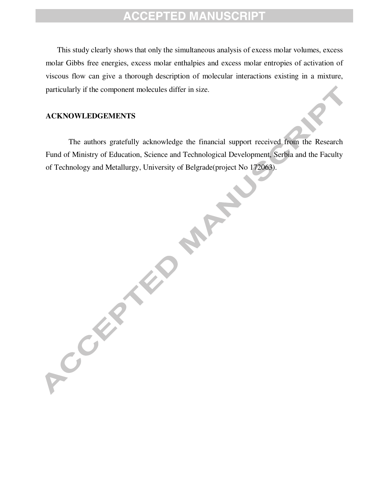This study clearly shows that only the simultaneous analysis of excess molar volumes, excess molar Gibbs free energies, excess molar enthalpies and excess molar entropies of activation of viscous flow can give a thorough description of molecular interactions existing in a mixture, particularly if the component molecules differ in size.

#### **ACKNOWLEDGEMENTS**

ACCEPTED

 The authors gratefully acknowledge the financial support received from the Research Fund of Ministry of Education, Science and Technological Development, Serbia and the Faculty of Technology and Metallurgy, University of Belgrade(project No 172063).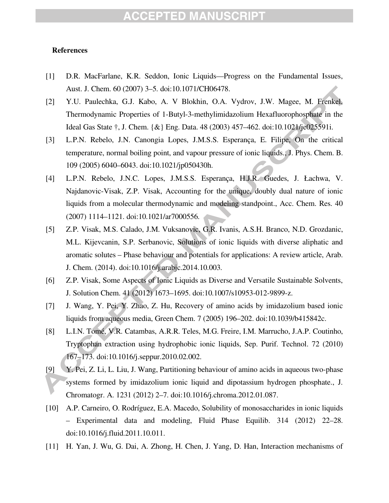#### **References**

- [1] D.R. MacFarlane, K.R. Seddon, Ionic Liquids—Progress on the Fundamental Issues, Aust. J. Chem. 60 (2007) 3–5. doi:10.1071/CH06478.
- [2] Y.U. Paulechka, G.J. Kabo, A. V Blokhin, O.A. Vydrov, J.W. Magee, M. Frenkel, Thermodynamic Properties of 1-Butyl-3-methylimidazolium Hexafluorophosphate in the Ideal Gas State †, J. Chem. {&} Eng. Data. 48 (2003) 457–462. doi:10.1021/je025591i.
- [3] L.P.N. Rebelo, J.N. Canongia Lopes, J.M.S.S. Esperança, E. Filipe, On the critical temperature, normal boiling point, and vapour pressure of ionic liquids., J. Phys. Chem. B. 109 (2005) 6040–6043. doi:10.1021/jp050430h.
- [4] L.P.N. Rebelo, J.N.C. Lopes, J.M.S.S. Esperança, H.J.R. Guedes, J. Łachwa, V. Najdanovic-Visak, Z.P. Visak, Accounting for the unique, doubly dual nature of ionic liquids from a molecular thermodynamic and modeling standpoint., Acc. Chem. Res. 40 (2007) 1114–1121. doi:10.1021/ar7000556.
- [5] Z.P. Visak, M.S. Calado, J.M. Vuksanovic, G.R. Ivanis, A.S.H. Branco, N.D. Grozdanic, M.L. Kijevcanin, S.P. Serbanovic, Solutions of ionic liquids with diverse aliphatic and aromatic solutes – Phase behaviour and potentials for applications: A review article, Arab. J. Chem. (2014). doi:10.1016/j.arabjc.2014.10.003.
- [6] Z.P. Visak, Some Aspects of Ionic Liquids as Diverse and Versatile Sustainable Solvents, J. Solution Chem. 41 (2012) 1673–1695. doi:10.1007/s10953-012-9899-z.
- [7] J. Wang, Y. Pei, Y. Zhao, Z. Hu, Recovery of amino acids by imidazolium based ionic liquids from aqueous media, Green Chem. 7 (2005) 196–202. doi:10.1039/b415842c.
- [8] L.I.N. Tomé, V.R. Catambas, A.R.R. Teles, M.G. Freire, I.M. Marrucho, J.A.P. Coutinho, Tryptophan extraction using hydrophobic ionic liquids, Sep. Purif. Technol. 72 (2010) 167–173. doi:10.1016/j.seppur.2010.02.002.
- [9] Y. Pei, Z. Li, L. Liu, J. Wang, Partitioning behaviour of amino acids in aqueous two-phase systems formed by imidazolium ionic liquid and dipotassium hydrogen phosphate., J. Chromatogr. A. 1231 (2012) 2–7. doi:10.1016/j.chroma.2012.01.087.
- [10] A.P. Carneiro, O. Rodríguez, E.A. Macedo, Solubility of monosaccharides in ionic liquids – Experimental data and modeling, Fluid Phase Equilib. 314 (2012) 22–28. doi:10.1016/j.fluid.2011.10.011.
- [11] H. Yan, J. Wu, G. Dai, A. Zhong, H. Chen, J. Yang, D. Han, Interaction mechanisms of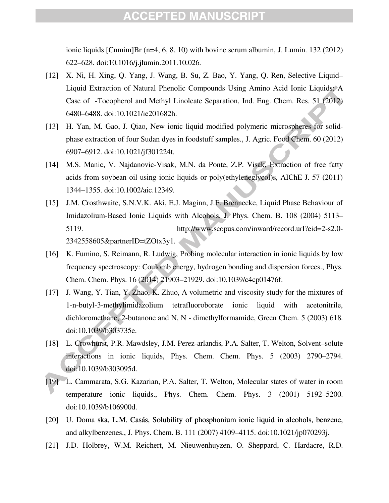ionic liquids [Cnmim]Br (n=4, 6, 8, 10) with bovine serum albumin, J. Lumin. 132 (2012) 622–628. doi:10.1016/j.jlumin.2011.10.026.

- [12] X. Ni, H. Xing, Q. Yang, J. Wang, B. Su, Z. Bao, Y. Yang, Q. Ren, Selective Liquid– Liquid Extraction of Natural Phenolic Compounds Using Amino Acid Ionic Liquids: A Case of -Tocopherol and Methyl Linoleate Separation, Ind. Eng. Chem. Res. 51 (2012) 6480–6488. doi:10.1021/ie201682h.
- [13] H. Yan, M. Gao, J. Qiao, New ionic liquid modified polymeric microspheres for solidphase extraction of four Sudan dyes in foodstuff samples., J. Agric. Food Chem. 60 (2012) 6907–6912. doi:10.1021/jf301224t.
- [14] M.S. Manic, V. Najdanovic-Visak, M.N. da Ponte, Z.P. Visak, Extraction of free fatty acids from soybean oil using ionic liquids or poly(ethyleneglycol)s, AIChE J. 57 (2011) 1344–1355. doi:10.1002/aic.12349.
- [15] J.M. Crosthwaite, S.N.V.K. Aki, E.J. Maginn, J.F. Brennecke, Liquid Phase Behaviour of Imidazolium-Based Ionic Liquids with Alcohols, J. Phys. Chem. B. 108 (2004) 5113– 5119. http://www.scopus.com/inward/record.url?eid=2-s2.0- 2342558605&partnerID=tZOtx3y1.
- [16] K. Fumino, S. Reimann, R. Ludwig, Probing molecular interaction in ionic liquids by low frequency spectroscopy: Coulomb energy, hydrogen bonding and dispersion forces., Phys. Chem. Chem. Phys. 16 (2014) 21903–21929. doi:10.1039/c4cp01476f.
- [17] J. Wang, Y. Tian, Y. Zhao, K. Zhuo, A volumetric and viscosity study for the mixtures of 1-n-butyl-3-methylimidazolium tetrafluoroborate ionic liquid with acetonitrile, dichloromethane, 2-butanone and N, N - dimethylformamide, Green Chem. 5 (2003) 618. doi:10.1039/b303735e.
- [18] L. Crowhurst, P.R. Mawdsley, J.M. Perez-arlandis, P.A. Salter, T. Welton, Solvent–solute interactions in ionic liquids, Phys. Chem. Chem. Phys. 5 (2003) 2790–2794. doi:10.1039/b303095d.
- [19] L. Cammarata, S.G. Kazarian, P.A. Salter, T. Welton, Molecular states of water in room temperature ionic liquids., Phys. Chem. Chem. Phys. 3 (2001) 5192–5200. doi:10.1039/b106900d.
- [20] U. Doma ska, L.M. Casás, Solubility of phosphonium ionic liquid in alcohols, benzene, and alkylbenzenes., J. Phys. Chem. B. 111 (2007) 4109–4115. doi:10.1021/jp070293j.
- [21] J.D. Holbrey, W.M. Reichert, M. Nieuwenhuyzen, O. Sheppard, C. Hardacre, R.D.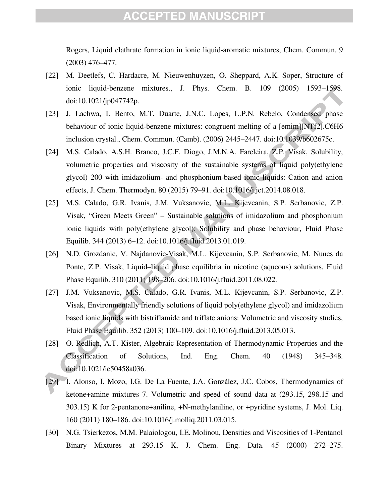Rogers, Liquid clathrate formation in ionic liquid-aromatic mixtures, Chem. Commun. 9 (2003) 476–477.

- [22] M. Deetlefs, C. Hardacre, M. Nieuwenhuyzen, O. Sheppard, A.K. Soper, Structure of ionic liquid-benzene mixtures., J. Phys. Chem. B. 109 (2005) 1593–1598. doi:10.1021/jp047742p.
- [23] J. Lachwa, I. Bento, M.T. Duarte, J.N.C. Lopes, L.P.N. Rebelo, Condensed phase behaviour of ionic liquid-benzene mixtures: congruent melting of a [emim][NTf2].C6H6 inclusion crystal., Chem. Commun. (Camb). (2006) 2445–2447. doi:10.1039/b602675c.
- [24] M.S. Calado, A.S.H. Branco, J.C.F. Diogo, J.M.N.A. Fareleira, Z.P. Visak, Solubility, volumetric properties and viscosity of the sustainable systems of liquid poly(ethylene glycol) 200 with imidazolium- and phosphonium-based ionic liquids: Cation and anion effects, J. Chem. Thermodyn. 80 (2015) 79–91. doi:10.1016/j.jct.2014.08.018.
- [25] M.S. Calado, G.R. Ivanis, J.M. Vuksanovic, M.L. Kijevcanin, S.P. Serbanovic, Z.P. Visak, "Green Meets Green" – Sustainable solutions of imidazolium and phosphonium ionic liquids with poly(ethylene glycol): Solubility and phase behaviour, Fluid Phase Equilib. 344 (2013) 6–12. doi:10.1016/j.fluid.2013.01.019.
- [26] N.D. Grozdanic, V. Najdanovic-Visak, M.L. Kijevcanin, S.P. Serbanovic, M. Nunes da Ponte, Z.P. Visak, Liquid–liquid phase equilibria in nicotine (aqueous) solutions, Fluid Phase Equilib. 310 (2011) 198–206. doi:10.1016/j.fluid.2011.08.022.
- [27] J.M. Vuksanovic, M.S. Calado, G.R. Ivanis, M.L. Kijevcanin, S.P. Serbanovic, Z.P. Visak, Environmentally friendly solutions of liquid poly(ethylene glycol) and imidazolium based ionic liquids with bistriflamide and triflate anions: Volumetric and viscosity studies, Fluid Phase Equilib. 352 (2013) 100–109. doi:10.1016/j.fluid.2013.05.013.
- [28] O. Redlich, A.T. Kister, Algebraic Representation of Thermodynamic Properties and the Classification of Solutions, Ind. Eng. Chem. 40 (1948) 345–348. doi:10.1021/ie50458a036.
- [29] I. Alonso, I. Mozo, I.G. De La Fuente, J.A. González, J.C. Cobos, Thermodynamics of ketone+amine mixtures 7. Volumetric and speed of sound data at (293.15, 298.15 and 303.15) K for 2-pentanone+aniline, +N-methylaniline, or +pyridine systems, J. Mol. Liq. 160 (2011) 180–186. doi:10.1016/j.molliq.2011.03.015.
- [30] N.G. Tsierkezos, M.M. Palaiologou, I.E. Molinou, Densities and Viscosities of 1-Pentanol Binary Mixtures at 293.15 K, J. Chem. Eng. Data. 45 (2000) 272–275.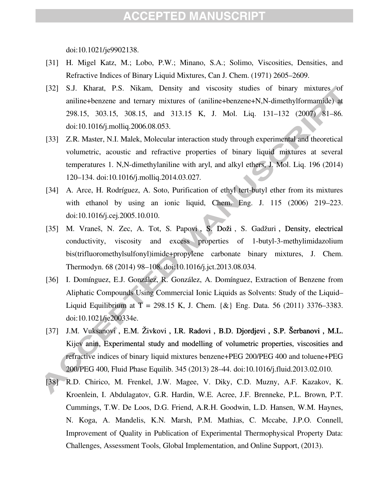doi:10.1021/je9902138.

- [31] H. Migel Katz, M.; Lobo, P.W.; Minano, S.A.; Solimo, Viscosities, Densities, and Refractive Indices of Binary Liquid Mixtures, Can J. Chem. (1971) 2605–2609.
- [32] S.J. Kharat, P.S. Nikam, Density and viscosity studies of binary mixtures of aniline+benzene and ternary mixtures of (aniline+benzene+N,N-dimethylformamide) at 298.15, 303.15, 308.15, and 313.15 K, J. Mol. Liq. 131–132 (2007) 81–86. doi:10.1016/j.molliq.2006.08.053.
- [33] Z.R. Master, N.I. Malek, Molecular interaction study through experimental and theoretical volumetric, acoustic and refractive properties of binary liquid mixtures at several temperatures 1. N,N-dimethylaniline with aryl, and alkyl ethers, J. Mol. Liq. 196 (2014) 120–134. doi:10.1016/j.molliq.2014.03.027.
- [34] A. Arce, H. Rodríguez, A. Soto, Purification of ethyl tert-butyl ether from its mixtures with ethanol by using an ionic liquid, Chem. Eng. J. 115 (2006) 219–223. doi:10.1016/j.cej.2005.10.010.
- [35] M. Vraneš, N. Zec, A. Tot, S. Papovi, S. Doži, S. Gadžuri, Density, electrical conductivity, viscosity and excess properties of 1-butyl-3-methylimidazolium bis(trifluoromethylsulfonyl)imide+propylene carbonate binary mixtures, J. Chem. Thermodyn. 68 (2014) 98–108. doi:10.1016/j.jct.2013.08.034.
- [36] I. Domínguez, E.J. González, R. González, A. Domínguez, Extraction of Benzene from Aliphatic Compounds Using Commercial Ionic Liquids as Solvents: Study of the Liquid– Liquid Equilibrium at  $T = 298.15$  K, J. Chem.  $\{\&\}$  Eng. Data. 56 (2011) 3376–3383. doi:10.1021/je200334e.
- [37] J.M. Vuksanovi, E.M. Živkovi, I.R. Radovi, B.D. Djordjevi, S.P. Šerbanovi, M.L. Kijev anin, Experimental study and modelling of volumetric properties, viscosities and refractive indices of binary liquid mixtures benzene+PEG 200/PEG 400 and toluene+PEG 200/PEG 400, Fluid Phase Equilib. 345 (2013) 28–44. doi:10.1016/j.fluid.2013.02.010.
- [38] R.D. Chirico, M. Frenkel, J.W. Magee, V. Diky, C.D. Muzny, A.F. Kazakov, K. Kroenlein, I. Abdulagatov, G.R. Hardin, W.E. Acree, J.F. Brenneke, P.L. Brown, P.T. Cummings, T.W. De Loos, D.G. Friend, A.R.H. Goodwin, L.D. Hansen, W.M. Haynes, N. Koga, A. Mandelis, K.N. Marsh, P.M. Mathias, C. Mccabe, J.P.O. Connell, Improvement of Quality in Publication of Experimental Thermophysical Property Data: Challenges, Assessment Tools, Global Implementation, and Online Support, (2013).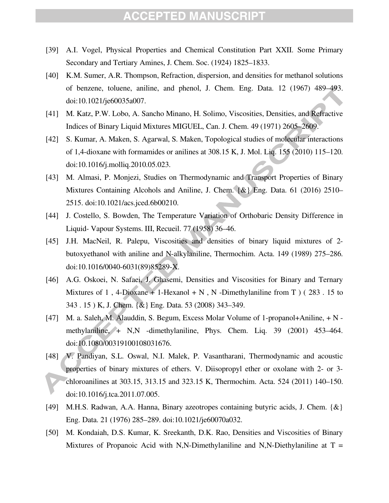- [39] A.I. Vogel, Physical Properties and Chemical Constitution Part XXII. Some Primary Secondary and Tertiary Amines, J. Chem. Soc. (1924) 1825–1833.
- [40] K.M. Sumer, A.R. Thompson, Refraction, dispersion, and densities for methanol solutions of benzene, toluene, aniline, and phenol, J. Chem. Eng. Data. 12 (1967) 489–493. doi:10.1021/je60035a007.
- [41] M. Katz, P.W. Lobo, A. Sancho Minano, H. Solimo, Viscosities, Densities, and Refractive Indices of Binary Liquid Mixtures MIGUEL, Can. J. Chem. 49 (1971) 2605–2609.
- [42] S. Kumar, A. Maken, S. Agarwal, S. Maken, Topological studies of molecular interactions of 1,4-dioxane with formamides or anilines at 308.15 K, J. Mol. Liq. 155 (2010) 115–120. doi:10.1016/j.molliq.2010.05.023.
- [43] M. Almasi, P. Monjezi, Studies on Thermodynamic and Transport Properties of Binary Mixtures Containing Alcohols and Aniline, J. Chem. {&} Eng. Data. 61 (2016) 2510– 2515. doi:10.1021/acs.jced.6b00210.
- [44] J. Costello, S. Bowden, The Temperature Variation of Orthobaric Density Difference in Liquid- Vapour Systems. III, Recueil. 77 (1958) 36–46.
- [45] J.H. MacNeil, R. Palepu, Viscosities and densities of binary liquid mixtures of 2 butoxyethanol with aniline and N-alkylaniline, Thermochim. Acta. 149 (1989) 275–286. doi:10.1016/0040-6031(89)85289-X.
- [46] A.G. Oskoei, N. Safaei, J. Ghasemi, Densities and Viscosities for Binary and Ternary Mixtures of 1, 4-Dioxane + 1-Hexanol + N, N -Dimethylaniline from T  $(283.15$  to 343 . 15 ) K, J. Chem. {&} Eng. Data. 53 (2008) 343–349.
- [47] M. a. Saleh, M. Alauddin, S. Begum, Excess Molar Volume of 1-propanol+Aniline, + N methylaniline, + N,N -dimethylaniline, Phys. Chem. Liq. 39 (2001) 453–464. doi:10.1080/00319100108031676.
- [48] *N. Pandiyan, S.L. Oswal, N.I. Malek, P. Vasantharani, Thermodynamic and acoustic* properties of binary mixtures of ethers. V. Diisopropyl ether or oxolane with 2- or 3 chloroanilines at 303.15, 313.15 and 323.15 K, Thermochim. Acta. 524 (2011) 140–150. doi:10.1016/j.tca.2011.07.005.
- [49] M.H.S. Radwan, A.A. Hanna, Binary azeotropes containing butyric acids, J. Chem. {&} Eng. Data. 21 (1976) 285–289. doi:10.1021/je60070a032.
- [50] M. Kondaiah, D.S. Kumar, K. Sreekanth, D.K. Rao, Densities and Viscosities of Binary Mixtures of Propanoic Acid with N,N-Dimethylaniline and N,N-Diethylaniline at  $T =$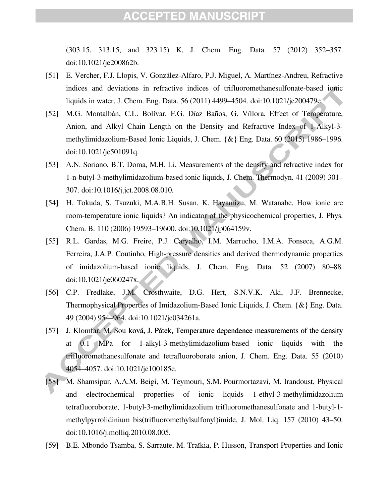(303.15, 313.15, and 323.15) K, J. Chem. Eng. Data. 57 (2012) 352–357. doi:10.1021/je200862b.

- [51] E. Vercher, F.J. Llopis, V. González-Alfaro, P.J. Miguel, A. Martínez-Andreu, Refractive indices and deviations in refractive indices of trifluoromethanesulfonate-based ionic liquids in water, J. Chem. Eng. Data. 56 (2011) 4499–4504. doi:10.1021/je200479e.
- [52] M.G. Montalbán, C.L. Bolívar, F.G. Díaz Baños, G. Víllora, Effect of Temperature, Anion, and Alkyl Chain Length on the Density and Refractive Index of 1-Alkyl-3 methylimidazolium-Based Ionic Liquids, J. Chem. {&} Eng. Data. 60 (2015) 1986–1996. doi:10.1021/je501091q.
- [53] A.N. Soriano, B.T. Doma, M.H. Li, Measurements of the density and refractive index for 1-n-butyl-3-methylimidazolium-based ionic liquids, J. Chem. Thermodyn. 41 (2009) 301– 307. doi:10.1016/j.jct.2008.08.010.
- [54] H. Tokuda, S. Tsuzuki, M.A.B.H. Susan, K. Hayamizu, M. Watanabe, How ionic are room-temperature ionic liquids? An indicator of the physicochemical properties, J. Phys. Chem. B. 110 (2006) 19593–19600. doi:10.1021/jp064159v.
- [55] R.L. Gardas, M.G. Freire, P.J. Caryalho, I.M. Marrucho, I.M.A. Fonseca, A.G.M. Ferreira, J.A.P. Coutinho, High-pressure densities and derived thermodynamic properties of imidazolium-based ionic liquids, J. Chem. Eng. Data. 52 (2007) 80–88. doi:10.1021/je060247x.
- [56] C.P. Fredlake, J.M. Crosthwaite, D.G. Hert, S.N.V.K. Aki, J.F. Brennecke, Thermophysical Properties of Imidazolium-Based Ionic Liquids, J. Chem. {&} Eng. Data. 49 (2004) 954–964. doi:10.1021/je034261a.
- [57] J. Klomfar, M. Sou ková, J. Pátek, Temperature dependence measurements of the density at 0.1 MPa for 1-alkyl-3-methylimidazolium-based ionic liquids with the trifluoromethanesulfonate and tetrafluoroborate anion, J. Chem. Eng. Data. 55 (2010) 4054–4057. doi:10.1021/je100185e.
- [58] M. Shamsipur, A.A.M. Beigi, M. Teymouri, S.M. Pourmortazavi, M. Irandoust, Physical and electrochemical properties of ionic liquids 1-ethyl-3-methylimidazolium tetrafluoroborate, 1-butyl-3-methylimidazolium trifluoromethanesulfonate and 1-butyl-1 methylpyrrolidinium bis(trifluoromethylsulfonyl)imide, J. Mol. Liq. 157 (2010) 43–50. doi:10.1016/j.molliq.2010.08.005.
- [59] B.E. Mbondo Tsamba, S. Sarraute, M. Traïkia, P. Husson, Transport Properties and Ionic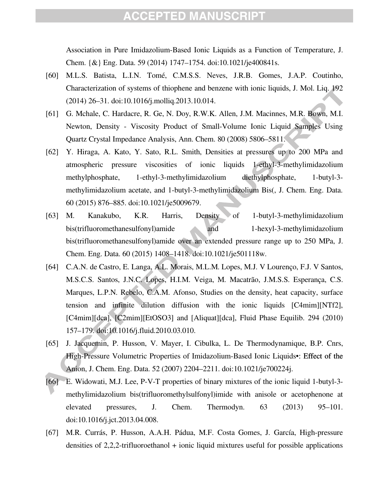Association in Pure Imidazolium-Based Ionic Liquids as a Function of Temperature, J. Chem. {&} Eng. Data. 59 (2014) 1747–1754. doi:10.1021/je400841s.

- [60] M.L.S. Batista, L.I.N. Tomé, C.M.S.S. Neves, J.R.B. Gomes, J.A.P. Coutinho, Characterization of systems of thiophene and benzene with ionic liquids, J. Mol. Liq. 192 (2014) 26–31. doi:10.1016/j.molliq.2013.10.014.
- [61] G. Mchale, C. Hardacre, R. Ge, N. Doy, R.W.K. Allen, J.M. Macinnes, M.R. Bown, M.I. Newton, Density - Viscosity Product of Small-Volume Ionic Liquid Samples Using Quartz Crystal Impedance Analysis, Ann. Chem. 80 (2008) 5806–5811.
- [62] Y. Hiraga, A. Kato, Y. Sato, R.L. Smith, Densities at pressures up to 200 MPa and atmospheric pressure viscosities of ionic liquids 1-ethyl-3-methylimidazolium methylphosphate, 1-ethyl-3-methylimidazolium diethylphosphate, 1-butyl-3 methylimidazolium acetate, and 1-butyl-3-methylimidazolium Bis(, J. Chem. Eng. Data. 60 (2015) 876–885. doi:10.1021/je5009679.
- [63] M. Kanakubo, K.R. Harris, Density of 1-butyl-3-methylimidazolium bis(trifluoromethanesulfonyl)amide and 1-hexyl-3-methylimidazolium bis(trifluoromethanesulfonyl)amide over an extended pressure range up to 250 MPa, J. Chem. Eng. Data. 60 (2015) 1408–1418. doi:10.1021/je501118w.
- [64] C.A.N. de Castro, E. Langa, A.L. Morais, M.L.M. Lopes, M.J. V Lourenço, F.J. V Santos, M.S.C.S. Santos, J.N.C. Lopes, H.I.M. Veiga, M. Macatrão, J.M.S.S. Esperança, C.S. Marques, L.P.N. Rebelo, C.A.M. Afonso, Studies on the density, heat capacity, surface tension and infinite dilution diffusion with the ionic liquids [C4mim][NTf2], [C4mim][dca], [C2mim][EtOSO3] and [Aliquat][dca], Fluid Phase Equilib. 294 (2010) 157–179. doi:10.1016/j.fluid.2010.03.010.
- [65] J. Jacquemin, P. Husson, V. Mayer, I. Cibulka, L. De Thermodynamique, B.P. Cnrs, High-Pressure Volumetric Properties of Imidazolium-Based Ionic Liquids•: Effect of the Anion, J. Chem. Eng. Data. 52 (2007) 2204–2211. doi:10.1021/je700224j.
- [66] E. Widowati, M.J. Lee, P-V-T properties of binary mixtures of the ionic liquid 1-butyl-3methylimidazolium bis(trifluoromethylsulfonyl)imide with anisole or acetophenone at elevated pressures, J. Chem. Thermodyn. 63 (2013) 95–101. doi:10.1016/j.jct.2013.04.008.
- [67] M.R. Currás, P. Husson, A.A.H. Pádua, M.F. Costa Gomes, J. García, High-pressure densities of 2,2,2-trifluoroethanol + ionic liquid mixtures useful for possible applications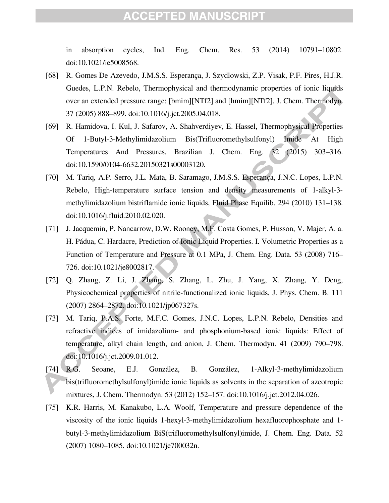in absorption cycles, Ind. Eng. Chem. Res. 53 (2014) 10791–10802. doi:10.1021/ie5008568.

- [68] R. Gomes De Azevedo, J.M.S.S. Esperança, J. Szydlowski, Z.P. Visak, P.F. Pires, H.J.R. Guedes, L.P.N. Rebelo, Thermophysical and thermodynamic properties of ionic liquids over an extended pressure range: [bmim][NTf2] and [hmim][NTf2], J. Chem. Thermodyn. 37 (2005) 888–899. doi:10.1016/j.jct.2005.04.018.
- **Imide** At High<br>(2015) 303–316. [69] R. Hamidova, I. Kul, J. Safarov, A. Shahverdiyev, E. Hassel, Thermophysical Properties Of 1-Butyl-3-Methylimidazolium Bis(Trifluoromethylsulfonyl) Imide At High Temperatures And Pressures, Brazilian J. Chem. Eng. 32 doi:10.1590/0104-6632.20150321s00003120.
- [70] M. Tariq, A.P. Serro, J.L. Mata, B. Saramago, J.M.S.S. Esperança, J.N.C. Lopes, L.P.N. Rebelo, High-temperature surface tension and density measurements of 1-alkyl-3 methylimidazolium bistriflamide ionic liquids, Fluid Phase Equilib. 294 (2010) 131–138. doi:10.1016/j.fluid.2010.02.020.
- [71] J. Jacquemin, P. Nancarrow, D.W. Rooney, M.F. Costa Gomes, P. Husson, V. Majer, A. a. H. Pádua, C. Hardacre, Prediction of Ionic Liquid Properties. I. Volumetric Properties as a Function of Temperature and Pressure at 0.1 MPa, J. Chem. Eng. Data. 53 (2008) 716– 726. doi:10.1021/je8002817.
- [72] Q. Zhang, Z. Li, J. Zhang, S. Zhang, L. Zhu, J. Yang, X. Zhang, Y. Deng, Physicochemical properties of nitrile-functionalized ionic liquids, J. Phys. Chem. B. 111 (2007) 2864–2872. doi:10.1021/jp067327s.
- [73] M. Tariq, P.A.S. Forte, M.F.C. Gomes, J.N.C. Lopes, L.P.N. Rebelo, Densities and refractive indices of imidazolium- and phosphonium-based ionic liquids: Effect of temperature, alkyl chain length, and anion, J. Chem. Thermodyn. 41 (2009) 790–798. doi:10.1016/j.jct.2009.01.012.
- [74] R.G. Seoane, E.J. González, B. González, 1-Alkyl-3-methylimidazolium bis(trifluoromethylsulfonyl)imide ionic liquids as solvents in the separation of azeotropic mixtures, J. Chem. Thermodyn. 53 (2012) 152–157. doi:10.1016/j.jct.2012.04.026.
- [75] K.R. Harris, M. Kanakubo, L.A. Woolf, Temperature and pressure dependence of the viscosity of the ionic liquids 1-hexyl-3-methylimidazolium hexafluorophosphate and 1 butyl-3-methylimidazolium BiS(trifluoromethylsulfonyl)imide, J. Chem. Eng. Data. 52 (2007) 1080–1085. doi:10.1021/je700032n.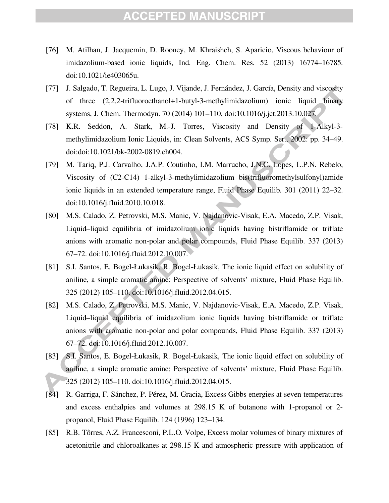- [76] M. Atilhan, J. Jacquemin, D. Rooney, M. Khraisheh, S. Aparicio, Viscous behaviour of imidazolium-based ionic liquids, Ind. Eng. Chem. Res. 52 (2013) 16774–16785. doi:10.1021/ie403065u.
- [77] J. Salgado, T. Regueira, L. Lugo, J. Vijande, J. Fernández, J. García, Density and viscosity of three (2,2,2-trifluoroethanol+1-butyl-3-methylimidazolium) ionic liquid binary systems, J. Chem. Thermodyn. 70 (2014) 101–110. doi:10.1016/j.jct.2013.10.027.
- [78] K.R. Seddon, A. Stark, M.-J. Torres, Viscosity and Density of 1-Alkyl-3 methylimidazolium Ionic Liquids, in: Clean Solvents, ACS Symp. Ser., 2002: pp. 34–49. doi:doi:10.1021/bk-2002-0819.ch004.
- [79] M. Tariq, P.J. Carvalho, J.A.P. Coutinho, I.M. Marrucho, J.N.C. Lopes, L.P.N. Rebelo, Viscosity of (C2-C14) 1-alkyl-3-methylimidazolium bis(trifluoromethylsulfonyl)amide ionic liquids in an extended temperature range, Fluid Phase Equilib. 301 (2011) 22–32. doi:10.1016/j.fluid.2010.10.018.
- [80] M.S. Calado, Z. Petrovski, M.S. Manic, V. Najdanovic-Visak, E.A. Macedo, Z.P. Visak, Liquid–liquid equilibria of imidazolium ionic liquids having bistriflamide or triflate anions with aromatic non-polar and polar compounds, Fluid Phase Equilib. 337 (2013) 67–72. doi:10.1016/j.fluid.2012.10.007.
- [81] S.I. Santos, E. Bogel-Łukasik, R. Bogel-Łukasik, The ionic liquid effect on solubility of aniline, a simple aromatic amine: Perspective of solvents' mixture, Fluid Phase Equilib. 325 (2012) 105–110. doi:10.1016/j.fluid.2012.04.015.
- [82] M.S. Calado, Z. Petrovski, M.S. Manic, V. Najdanovic-Visak, E.A. Macedo, Z.P. Visak, Liquid–liquid equilibria of imidazolium ionic liquids having bistriflamide or triflate anions with aromatic non-polar and polar compounds, Fluid Phase Equilib. 337 (2013) 67–72. doi:10.1016/j.fluid.2012.10.007.
- [83] S.I. Santos, E. Bogel-Łukasik, R. Bogel-Łukasik, The ionic liquid effect on solubility of aniline, a simple aromatic amine: Perspective of solvents' mixture, Fluid Phase Equilib. 325 (2012) 105–110. doi:10.1016/j.fluid.2012.04.015.
- [84] R. Garriga, F. Sánchez, P. Pérez, M. Gracia, Excess Gibbs energies at seven temperatures and excess enthalpies and volumes at 298.15 K of butanone with 1-propanol or 2 propanol, Fluid Phase Equilib. 124 (1996) 123–134.
- [85] R.B. Tôrres, A.Z. Francesconi, P.L.O. Volpe, Excess molar volumes of binary mixtures of acetonitrile and chloroalkanes at 298.15 K and atmospheric pressure with application of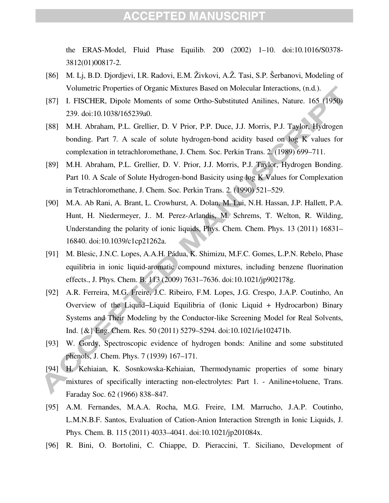the ERAS-Model, Fluid Phase Equilib. 200 (2002) 1–10. doi:10.1016/S0378- 3812(01)00817-2.

- [86] M. Lj, B.D. Djordjevi, I.R. Radovi, E.M. Živkovi, A.Ž. Tasi, S.P. Šerbanovi, Modeling of Volumetric Properties of Organic Mixtures Based on Molecular Interactions, (n.d.).
- [87] I. FISCHER, Dipole Moments of some Ortho-Substituted Anilines, Nature. 165 (1950) 239. doi:10.1038/165239a0.
- [88] M.H. Abraham, P.L. Grellier, D. V Prior, P.P. Duce, J.J. Morris, P.J. Taylor, Hydrogen bonding. Part 7. A scale of solute hydrogen-bond acidity based on log K values for complexation in tetrachloromethane, J. Chem. Soc. Perkin Trans. 2. (1989) 699–711.
- [89] M.H. Abraham, P.L. Grellier, D. V. Prior, J.J. Morris, P.J. Taylor, Hydrogen Bonding. Part 10. A Scale of Solute Hydrogen-bond Basicity using log K Values for Complexation in Tetrachloromethane, J. Chem. Soc. Perkin Trans. 2. (1990) 521–529.
- [90] M.A. Ab Rani, A. Brant, L. Crowhurst, A. Dolan, M. Lui, N.H. Hassan, J.P. Hallett, P.A. Hunt, H. Niedermeyer, J.. M. Perez-Arlandis, M. Schrems, T. Welton, R. Wilding, Understanding the polarity of ionic liquids, Phys. Chem. Chem. Phys. 13 (2011) 16831– 16840. doi:10.1039/c1cp21262a.
- [91] M. Blesic, J.N.C. Lopes, A.A.H. Pádua, K. Shimizu, M.F.C. Gomes, L.P.N. Rebelo, Phase equilibria in ionic liquid-aromatic compound mixtures, including benzene fluorination effects., J. Phys. Chem. B. 113 (2009) 7631–7636. doi:10.1021/jp902178g.
- [92] A.R. Ferreira, M.G. Freire, J.C. Ribeiro, F.M. Lopes, J.G. Crespo, J.A.P. Coutinho, An Overview of the Liquid−Liquid Equilibria of (Ionic Liquid + Hydrocarbon) Binary Systems and Their Modeling by the Conductor-like Screening Model for Real Solvents, Ind. {&} Eng. Chem. Res. 50 (2011) 5279–5294. doi:10.1021/ie102471b.
- [93] W. Gordy, Spectroscopic evidence of hydrogen bonds: Aniline and some substituted phenols, J. Chem. Phys. 7 (1939) 167–171.
- [94] H. Kehiaian, K. Sosnkowska-Kehiaian, Thermodynamic properties of some binary mixtures of specifically interacting non-electrolytes: Part 1. - Aniline+toluene, Trans. Faraday Soc. 62 (1966) 838–847.
- [95] A.M. Fernandes, M.A.A. Rocha, M.G. Freire, I.M. Marrucho, J.A.P. Coutinho, L.M.N.B.F. Santos, Evaluation of Cation-Anion Interaction Strength in Ionic Liquids, J. Phys. Chem. B. 115 (2011) 4033–4041. doi:10.1021/jp201084x.
- [96] R. Bini, O. Bortolini, C. Chiappe, D. Pieraccini, T. Siciliano, Development of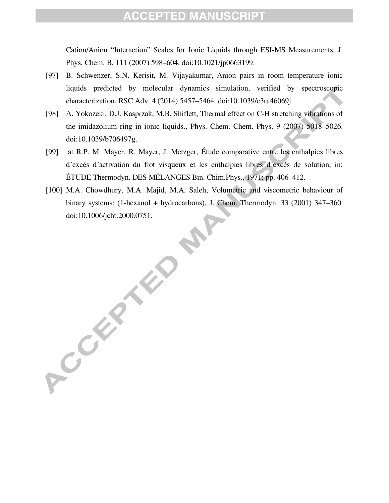Cation/Anion "Interaction" Scales for Ionic Liquids through ESI-MS Measurements, J. Phys. Chem. B. 111 (2007) 598–604. doi:10.1021/jp0663199.

- [97] B. Schwenzer, S.N. Kerisit, M. Vijayakumar, Anion pairs in room temperature ionic liquids predicted by molecular dynamics simulation, verified by spectroscopic characterization, RSC Adv. 4 (2014) 5457–5464. doi:10.1039/c3ra46069j.
- [98] A. Yokozeki, D.J. Kasprzak, M.B. Shiflett, Thermal effect on C-H stretching vibrations of the imidazolium ring in ionic liquids., Phys. Chem. Chem. Phys. 9 (2007) 5018–5026. doi:10.1039/b706497g.
- [99] at R.P. M. Mayer, R. Mayer, J. Metzger, Étude comparative entre les enthalpies libres d´excés d´activation du flot visqueux et les enthalpies libres d´excés de solution, in: ÉTUDE Thermodyn. DES MÉLANGES Bin. Chim.Phys., 1971: pp. 406–412.
- [100] M.A. Chowdhury, M.A. Majid, M.A. Saleh, Volumetric and viscometric behaviour of binary systems: (1-hexanol + hydrocarbons), J. Chem. Thermodyn. 33 (2001) 347–360. doi:10.1006/jcht.2000.0751.

ACCEPTED